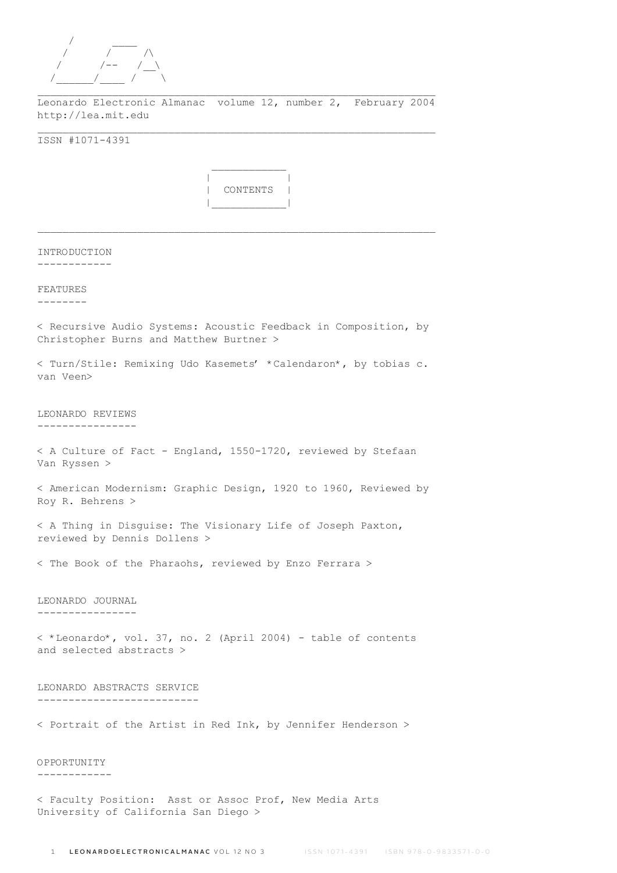

 $\mathcal{L}_\text{max}$  and  $\mathcal{L}_\text{max}$  and  $\mathcal{L}_\text{max}$  and  $\mathcal{L}_\text{max}$ 

Leonardo Electronic Almanac volume 12, number 2, February 2004 http://lea.mit.edu \_\_\_\_\_\_\_\_\_\_\_\_\_\_\_\_\_\_\_\_\_\_\_\_\_\_\_\_\_\_\_\_\_\_\_\_\_\_\_\_\_\_\_\_\_\_\_\_\_\_\_\_\_\_\_\_\_\_\_\_\_\_\_\_

ISSN #1071-4391



 $\mathcal{L}_\text{max}$ 

| INTRODUCTION<br>-----------                                                                                |
|------------------------------------------------------------------------------------------------------------|
| FEATURES<br>. _ _ _ _ _ _ _                                                                                |
| < Recursive Audio Systems: Acoustic Feedback in Composition, by<br>Christopher Burns and Matthew Burtner > |
| < Turn/Stile: Remixing Udo Kasemets' *Calendaron*, by tobias c.<br>van Veen>                               |
| LEONARDO REVIEWS<br>---------------                                                                        |
| < A Culture of Fact - England, 1550-1720, reviewed by Stefaan<br>Van Ryssen >                              |
| < American Modernism: Graphic Design, 1920 to 1960, Reviewed by<br>Roy R. Behrens >                        |
| < A Thing in Disguise: The Visionary Life of Joseph Paxton,<br>reviewed by Dennis Dollens >                |
| < The Book of the Pharaohs, reviewed by Enzo Ferrara >                                                     |
| LEONARDO JOURNAL<br>----------------                                                                       |
| < *Leonardo*, vol. 37, no. 2 (April 2004) - table of contents<br>and selected abstracts >                  |
| LEONARDO ABSTRACTS SERVICE<br>--------------------------                                                   |
| < Portrait of the Artist in Red Ink, by Jennifer Henderson >                                               |
| OPPORTUNITY                                                                                                |
| < Faculty Position: Asst or Assoc Prof, New Media Arts                                                     |

University of California San Diego >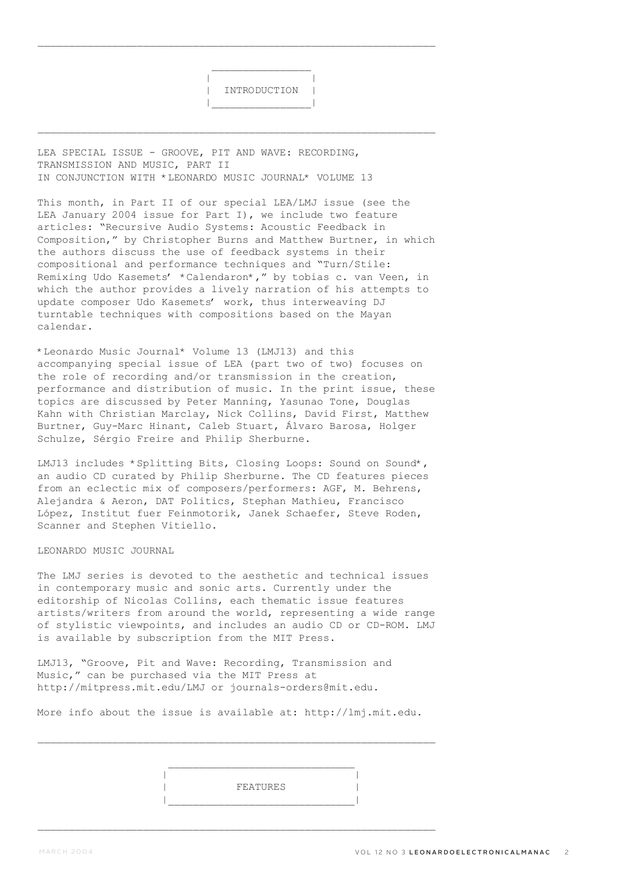\_\_\_\_\_\_\_\_\_\_\_\_\_\_\_\_\_\_\_\_\_\_\_\_\_\_\_\_\_\_\_\_\_\_\_\_\_\_\_\_\_\_\_\_\_\_\_\_\_\_\_\_\_\_\_\_\_\_\_\_\_\_\_\_

\_\_\_\_\_\_\_\_\_\_\_\_\_\_\_\_\_\_\_\_\_\_\_\_\_\_\_\_\_\_\_\_\_\_\_\_\_\_\_\_\_\_\_\_\_\_\_\_\_\_\_\_\_\_\_\_\_\_\_\_\_\_\_\_

LEA SPECIAL ISSUE - GROOVE, PIT AND WAVE: RECORDING, TRANSMISSION AND MUSIC, PART II IN CONJUNCTION WITH \*LEONARDO MUSIC JOURNAL\* VOLUME 13

 $\mathcal{L}_\mathcal{L} = \{ \mathcal{L}_\mathcal{L} \mid \mathcal{L}_\mathcal{L} \in \mathcal{L}_\mathcal{L} \}$  , where  $\mathcal{L}_\mathcal{L} = \{ \mathcal{L}_\mathcal{L} \mid \mathcal{L}_\mathcal{L} \in \mathcal{L}_\mathcal{L} \}$ 

This month, in Part II of our special LEA/LMJ issue (see the LEA January 2004 issue for Part I), we include two feature articles: "Recursive Audio Systems: Acoustic Feedback in Composition," by Christopher Burns and Matthew Burtner, in which the authors discuss the use of feedback systems in their compositional and performance techniques and "Turn/Stile: Remixing Udo Kasemets' \*Calendaron\*," by tobias c. van Veen, in which the author provides a lively narration of his attempts to update composer Udo Kasemets' work, thus interweaving DJ turntable techniques with compositions based on the Mayan calendar.

\*Leonardo Music Journal\* Volume 13 (LMJ13) and this accompanying special issue of LEA (part two of two) focuses on the role of recording and/or transmission in the creation, performance and distribution of music. In the print issue, these topics are discussed by Peter Manning, Yasunao Tone, Douglas Kahn with Christian Marclay, Nick Collins, David First, Matthew Burtner, Guy-Marc Hinant, Caleb Stuart, Álvaro Barosa, Holger Schulze, Sérgio Freire and Philip Sherburne.

LMJ13 includes \*Splitting Bits, Closing Loops: Sound on Sound\*, an audio CD curated by Philip Sherburne. The CD features pieces from an eclectic mix of composers/performers: AGF, M. Behrens, Alejandra & Aeron, DAT Politics, Stephan Mathieu, Francisco López, Institut fuer Feinmotorik, Janek Schaefer, Steve Roden, Scanner and Stephen Vitiello.

## LEONARDO MUSIC JOURNAL

The LMJ series is devoted to the aesthetic and technical issues in contemporary music and sonic arts. Currently under the editorship of Nicolas Collins, each thematic issue features artists/writers from around the world, representing a wide range of stylistic viewpoints, and includes an audio CD or CD-ROM. LMJ is available by subscription from the MIT Press.

LMJ13, "Groove, Pit and Wave: Recording, Transmission and Music," can be purchased via the MIT Press at http://mitpress.mit.edu/LMJ or journals-orders@mit.edu.

|\_\_\_\_\_\_\_\_\_\_\_\_\_\_\_\_\_\_\_\_\_\_\_\_\_\_\_\_\_\_|

More info about the issue is available at: http://lmj.mit.edu.

 | | | FEATURES |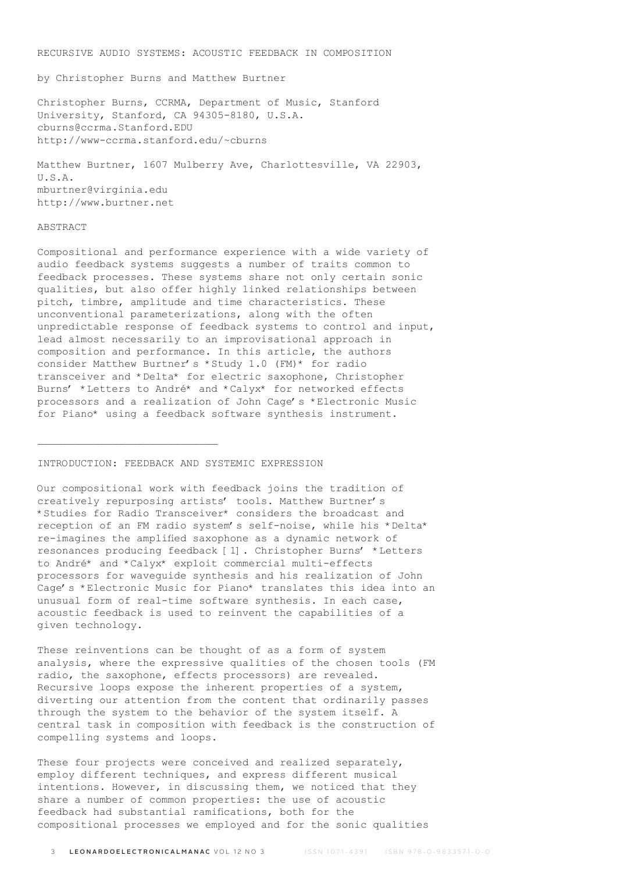RECURSIVE AUDIO SYSTEMS: ACOUSTIC FEEDBACK IN COMPOSITION

by Christopher Burns and Matthew Burtner

Christopher Burns, CCRMA, Department of Music, Stanford University, Stanford, CA 94305-8180, U.S.A. cburns@ccrma.Stanford.EDU http://www-ccrma.stanford.edu/~cburns

Matthew Burtner, 1607 Mulberry Ave, Charlottesville, VA 22903, U.S.A. mburtner@virginia.edu http://www.burtner.net

#### ABSTRACT

Compositional and performance experience with a wide variety of audio feedback systems suggests a number of traits common to feedback processes. These systems share not only certain sonic qualities, but also offer highly linked relationships between pitch, timbre, amplitude and time characteristics. These unconventional parameterizations, along with the often unpredictable response of feedback systems to control and input, lead almost necessarily to an improvisational approach in composition and performance. In this article, the authors consider Matthew Burtner's \*Study 1.0 (FM)\* for radio transceiver and \*Delta\* for electric saxophone, Christopher Burns' \*Letters to André\* and \*Calyx\* for networked effects processors and a realization of John Cage's \*Electronic Music for Piano\* using a feedback software synthesis instrument.

## INTRODUCTION: FEEDBACK AND SYSTEMIC EXPRESSION

 $\mathcal{L}_\text{max}$ 

Our compositional work with feedback joins the tradition of creatively repurposing artists' tools. Matthew Burtner's \*Studies for Radio Transceiver\* considers the broadcast and reception of an FM radio system's self-noise, while his \*Delta\* re-imagines the amplified saxophone as a dynamic network of resonances producing feedback [1]. Christopher Burns' \*Letters to André\* and \*Calyx\* exploit commercial multi-effects processors for waveguide synthesis and his realization of John Cage's \*Electronic Music for Piano\* translates this idea into an unusual form of real-time software synthesis. In each case, acoustic feedback is used to reinvent the capabilities of a given technology.

These reinventions can be thought of as a form of system analysis, where the expressive qualities of the chosen tools (FM radio, the saxophone, effects processors) are revealed. Recursive loops expose the inherent properties of a system, diverting our attention from the content that ordinarily passes through the system to the behavior of the system itself. A central task in composition with feedback is the construction of compelling systems and loops.

These four projects were conceived and realized separately, employ different techniques, and express different musical intentions. However, in discussing them, we noticed that they share a number of common properties: the use of acoustic feedback had substantial ramifications, both for the compositional processes we employed and for the sonic qualities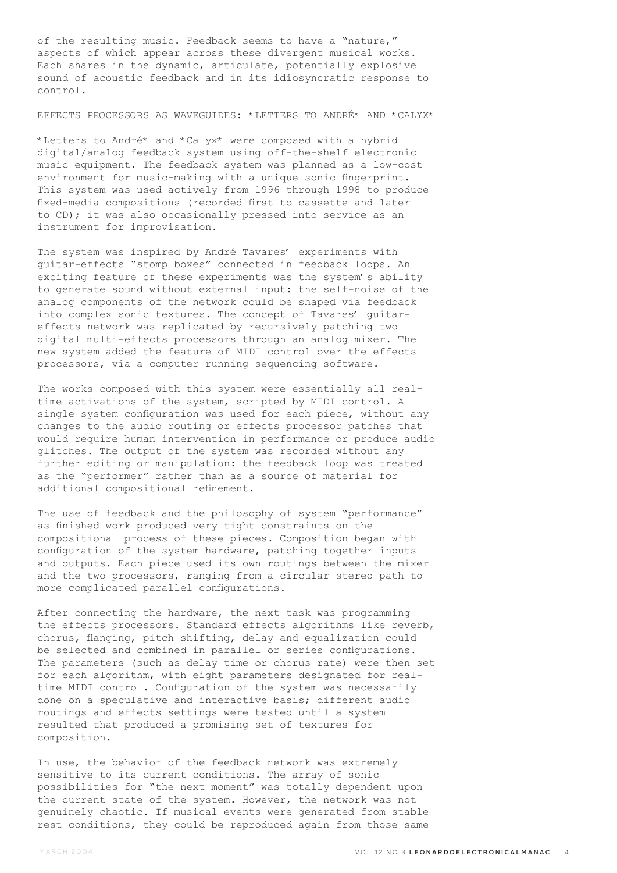of the resulting music. Feedback seems to have a "nature," aspects of which appear across these divergent musical works. Each shares in the dynamic, articulate, potentially explosive sound of acoustic feedback and in its idiosyncratic response to control.

## EFFECTS PROCESSORS AS WAVEGUIDES: \*LETTERS TO ANDRÉ\* AND \*CALYX\*

\*Letters to André\* and \*Calyx\* were composed with a hybrid digital/analog feedback system using off-the-shelf electronic music equipment. The feedback system was planned as a low-cost environment for music-making with a unique sonic fingerprint. This system was used actively from 1996 through 1998 to produce fixed-media compositions (recorded first to cassette and later to CD); it was also occasionally pressed into service as an instrument for improvisation.

The system was inspired by André Tavares' experiments with guitar-effects "stomp boxes" connected in feedback loops. An exciting feature of these experiments was the system's ability to generate sound without external input: the self-noise of the analog components of the network could be shaped via feedback into complex sonic textures. The concept of Tavares' guitareffects network was replicated by recursively patching two digital multi-effects processors through an analog mixer. The new system added the feature of MIDI control over the effects processors, via a computer running sequencing software.

The works composed with this system were essentially all realtime activations of the system, scripted by MIDI control. A single system configuration was used for each piece, without any changes to the audio routing or effects processor patches that would require human intervention in performance or produce audio glitches. The output of the system was recorded without any further editing or manipulation: the feedback loop was treated as the "performer" rather than as a source of material for additional compositional refinement.

The use of feedback and the philosophy of system "performance" as finished work produced very tight constraints on the compositional process of these pieces. Composition began with configuration of the system hardware, patching together inputs and outputs. Each piece used its own routings between the mixer and the two processors, ranging from a circular stereo path to more complicated parallel configurations.

After connecting the hardware, the next task was programming the effects processors. Standard effects algorithms like reverb, chorus, flanging, pitch shifting, delay and equalization could be selected and combined in parallel or series configurations. The parameters (such as delay time or chorus rate) were then set for each algorithm, with eight parameters designated for realtime MIDI control. Configuration of the system was necessarily done on a speculative and interactive basis; different audio routings and effects settings were tested until a system resulted that produced a promising set of textures for composition.

In use, the behavior of the feedback network was extremely sensitive to its current conditions. The array of sonic possibilities for "the next moment" was totally dependent upon the current state of the system. However, the network was not genuinely chaotic. If musical events were generated from stable rest conditions, they could be reproduced again from those same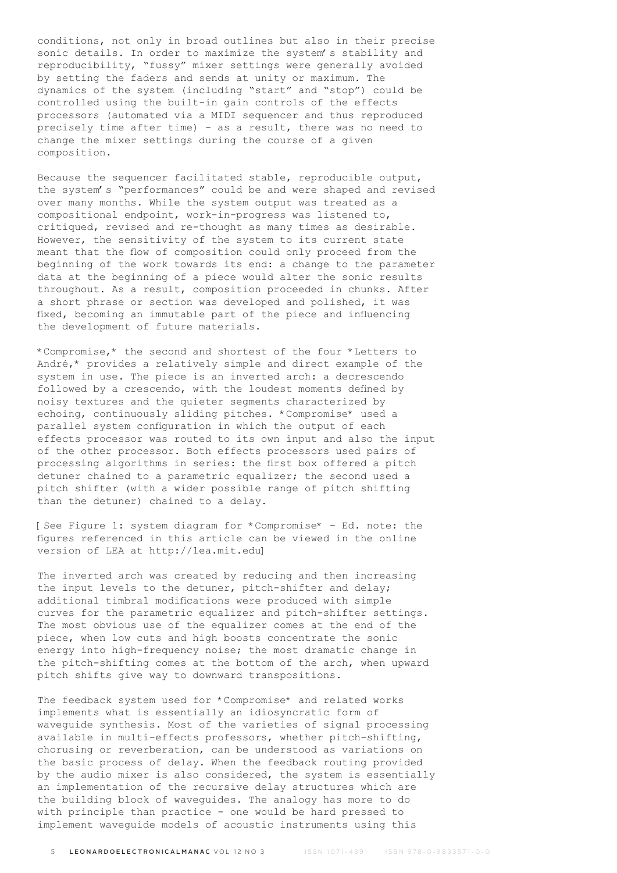conditions, not only in broad outlines but also in their precise sonic details. In order to maximize the system's stability and reproducibility, "fussy" mixer settings were generally avoided by setting the faders and sends at unity or maximum. The dynamics of the system (including "start" and "stop") could be controlled using the built-in gain controls of the effects processors (automated via a MIDI sequencer and thus reproduced precisely time after time) - as a result, there was no need to change the mixer settings during the course of a given composition.

Because the sequencer facilitated stable, reproducible output, the system's "performances" could be and were shaped and revised over many months. While the system output was treated as a compositional endpoint, work-in-progress was listened to, critiqued, revised and re-thought as many times as desirable. However, the sensitivity of the system to its current state meant that the flow of composition could only proceed from the beginning of the work towards its end: a change to the parameter data at the beginning of a piece would alter the sonic results throughout. As a result, composition proceeded in chunks. After a short phrase or section was developed and polished, it was fixed, becoming an immutable part of the piece and influencing the development of future materials.

\*Compromise,\* the second and shortest of the four \*Letters to André,\* provides a relatively simple and direct example of the system in use. The piece is an inverted arch: a decrescendo followed by a crescendo, with the loudest moments defined by noisy textures and the quieter segments characterized by echoing, continuously sliding pitches. \*Compromise\* used a parallel system configuration in which the output of each effects processor was routed to its own input and also the input of the other processor. Both effects processors used pairs of processing algorithms in series: the first box offered a pitch detuner chained to a parametric equalizer; the second used a pitch shifter (with a wider possible range of pitch shifting than the detuner) chained to a delay.

[See Figure 1: system diagram for \*Compromise\* - Ed. note: the figures referenced in this article can be viewed in the online version of LEA at http://lea.mit.edu]

The inverted arch was created by reducing and then increasing the input levels to the detuner, pitch-shifter and delay; additional timbral modifications were produced with simple curves for the parametric equalizer and pitch-shifter settings. The most obvious use of the equalizer comes at the end of the piece, when low cuts and high boosts concentrate the sonic energy into high-frequency noise; the most dramatic change in the pitch-shifting comes at the bottom of the arch, when upward pitch shifts give way to downward transpositions.

The feedback system used for \*Compromise\* and related works implements what is essentially an idiosyncratic form of waveguide synthesis. Most of the varieties of signal processing available in multi-effects professors, whether pitch-shifting, chorusing or reverberation, can be understood as variations on the basic process of delay. When the feedback routing provided by the audio mixer is also considered, the system is essentially an implementation of the recursive delay structures which are the building block of waveguides. The analogy has more to do with principle than practice - one would be hard pressed to implement waveguide models of acoustic instruments using this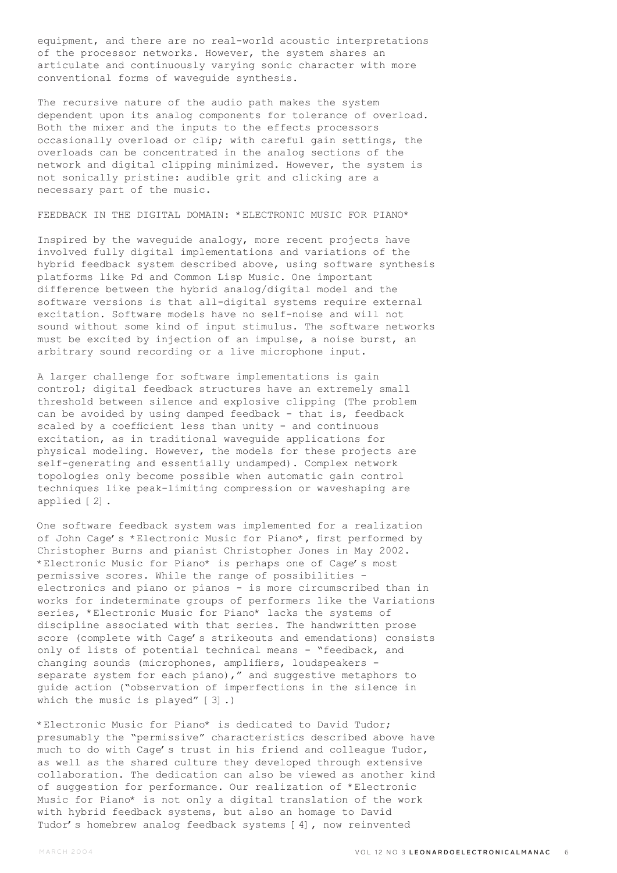equipment, and there are no real-world acoustic interpretations of the processor networks. However, the system shares an articulate and continuously varying sonic character with more conventional forms of waveguide synthesis.

The recursive nature of the audio path makes the system dependent upon its analog components for tolerance of overload. Both the mixer and the inputs to the effects processors occasionally overload or clip; with careful gain settings, the overloads can be concentrated in the analog sections of the network and digital clipping minimized. However, the system is not sonically pristine: audible grit and clicking are a necessary part of the music.

## FEEDBACK IN THE DIGITAL DOMAIN: \*ELECTRONIC MUSIC FOR PIANO\*

Inspired by the waveguide analogy, more recent projects have involved fully digital implementations and variations of the hybrid feedback system described above, using software synthesis platforms like Pd and Common Lisp Music. One important difference between the hybrid analog/digital model and the software versions is that all-digital systems require external excitation. Software models have no self-noise and will not sound without some kind of input stimulus. The software networks must be excited by injection of an impulse, a noise burst, an arbitrary sound recording or a live microphone input.

A larger challenge for software implementations is gain control; digital feedback structures have an extremely small threshold between silence and explosive clipping (The problem can be avoided by using damped feedback - that is, feedback scaled by a coefficient less than unity - and continuous excitation, as in traditional waveguide applications for physical modeling. However, the models for these projects are self-generating and essentially undamped). Complex network topologies only become possible when automatic gain control techniques like peak-limiting compression or waveshaping are applied [2].

One software feedback system was implemented for a realization of John Cage's \*Electronic Music for Piano\*, first performed by Christopher Burns and pianist Christopher Jones in May 2002. \*Electronic Music for Piano\* is perhaps one of Cage's most permissive scores. While the range of possibilities electronics and piano or pianos - is more circumscribed than in works for indeterminate groups of performers like the Variations series, \*Electronic Music for Piano\* lacks the systems of discipline associated with that series. The handwritten prose score (complete with Cage's strikeouts and emendations) consists only of lists of potential technical means - "feedback, and changing sounds (microphones, amplifiers, loudspeakers separate system for each piano)," and suggestive metaphors to guide action ("observation of imperfections in the silence in which the music is played" [3].)

\*Electronic Music for Piano\* is dedicated to David Tudor; presumably the "permissive" characteristics described above have much to do with Cage's trust in his friend and colleague Tudor, as well as the shared culture they developed through extensive collaboration. The dedication can also be viewed as another kind of suggestion for performance. Our realization of \*Electronic Music for Piano\* is not only a digital translation of the work with hybrid feedback systems, but also an homage to David Tudor's homebrew analog feedback systems [4], now reinvented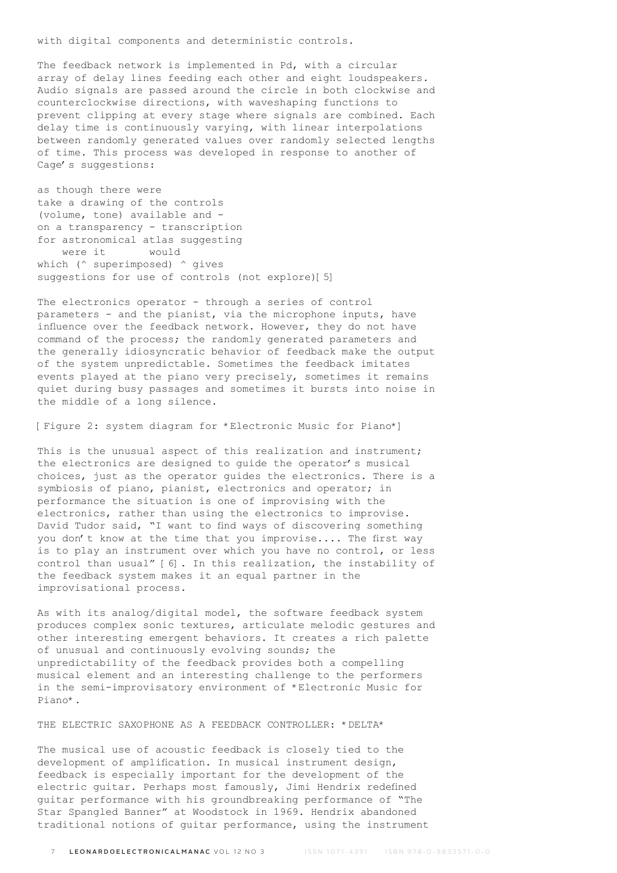with digital components and deterministic controls.

The feedback network is implemented in Pd, with a circular array of delay lines feeding each other and eight loudspeakers. Audio signals are passed around the circle in both clockwise and counterclockwise directions, with waveshaping functions to prevent clipping at every stage where signals are combined. Each delay time is continuously varying, with linear interpolations between randomly generated values over randomly selected lengths of time. This process was developed in response to another of Cage's suggestions:

as though there were take a drawing of the controls (volume, tone) available and on a transparency - transcription for astronomical atlas suggesting were it would which (^ superimposed) ^ gives suggestions for use of controls (not explore)[5]

The electronics operator - through a series of control parameters - and the pianist, via the microphone inputs, have influence over the feedback network. However, they do not have command of the process; the randomly generated parameters and the generally idiosyncratic behavior of feedback make the output of the system unpredictable. Sometimes the feedback imitates events played at the piano very precisely, sometimes it remains quiet during busy passages and sometimes it bursts into noise in the middle of a long silence.

[Figure 2: system diagram for \*Electronic Music for Piano\*]

This is the unusual aspect of this realization and instrument; the electronics are designed to guide the operator's musical choices, just as the operator guides the electronics. There is a symbiosis of piano, pianist, electronics and operator; in performance the situation is one of improvising with the electronics, rather than using the electronics to improvise. David Tudor said, "I want to find ways of discovering something you don't know at the time that you improvise.... The first way is to play an instrument over which you have no control, or less control than usual" [6]. In this realization, the instability of the feedback system makes it an equal partner in the improvisational process.

As with its analog/digital model, the software feedback system produces complex sonic textures, articulate melodic gestures and other interesting emergent behaviors. It creates a rich palette of unusual and continuously evolving sounds; the unpredictability of the feedback provides both a compelling musical element and an interesting challenge to the performers in the semi-improvisatory environment of \*Electronic Music for Piano\*.

THE ELECTRIC SAXOPHONE AS A FEEDBACK CONTROLLER: \*DELTA\*

The musical use of acoustic feedback is closely tied to the development of amplification. In musical instrument design, feedback is especially important for the development of the electric guitar. Perhaps most famously, Jimi Hendrix redefined guitar performance with his groundbreaking performance of "The Star Spangled Banner" at Woodstock in 1969. Hendrix abandoned traditional notions of guitar performance, using the instrument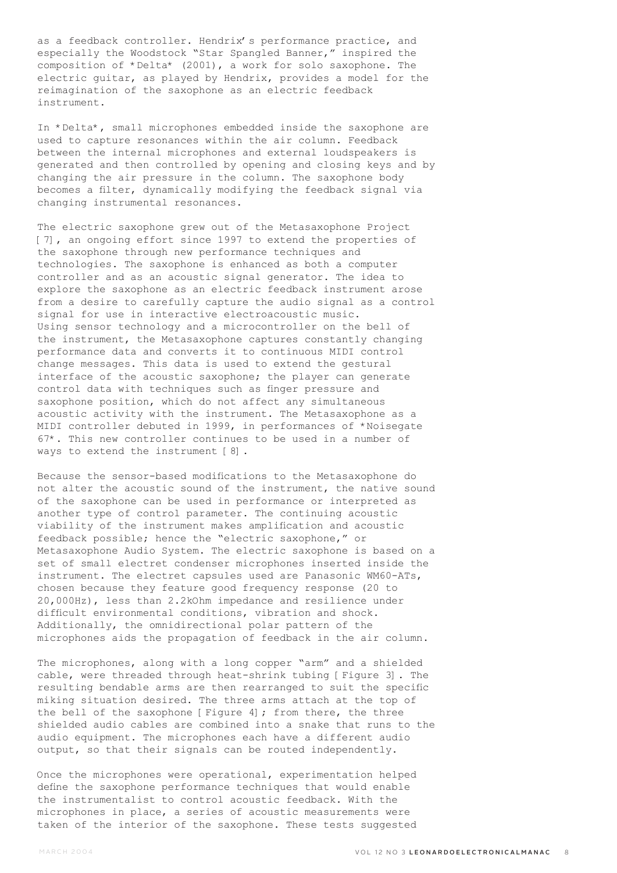as a feedback controller. Hendrix's performance practice, and especially the Woodstock "Star Spangled Banner," inspired the composition of \*Delta\* (2001), a work for solo saxophone. The electric guitar, as played by Hendrix, provides a model for the reimagination of the saxophone as an electric feedback instrument.

In \*Delta\*, small microphones embedded inside the saxophone are used to capture resonances within the air column. Feedback between the internal microphones and external loudspeakers is generated and then controlled by opening and closing keys and by changing the air pressure in the column. The saxophone body becomes a filter, dynamically modifying the feedback signal via changing instrumental resonances.

The electric saxophone grew out of the Metasaxophone Project [7], an ongoing effort since 1997 to extend the properties of the saxophone through new performance techniques and technologies. The saxophone is enhanced as both a computer controller and as an acoustic signal generator. The idea to explore the saxophone as an electric feedback instrument arose from a desire to carefully capture the audio signal as a control signal for use in interactive electroacoustic music. Using sensor technology and a microcontroller on the bell of the instrument, the Metasaxophone captures constantly changing performance data and converts it to continuous MIDI control change messages. This data is used to extend the gestural interface of the acoustic saxophone; the player can generate control data with techniques such as finger pressure and saxophone position, which do not affect any simultaneous acoustic activity with the instrument. The Metasaxophone as a MIDI controller debuted in 1999, in performances of \*Noisegate 67\*. This new controller continues to be used in a number of ways to extend the instrument [8].

Because the sensor-based modifications to the Metasaxophone do not alter the acoustic sound of the instrument, the native sound of the saxophone can be used in performance or interpreted as another type of control parameter. The continuing acoustic viability of the instrument makes amplification and acoustic feedback possible; hence the "electric saxophone," or Metasaxophone Audio System. The electric saxophone is based on a set of small electret condenser microphones inserted inside the instrument. The electret capsules used are Panasonic WM60-ATs, chosen because they feature good frequency response (20 to 20,000Hz), less than 2.2kOhm impedance and resilience under difficult environmental conditions, vibration and shock. Additionally, the omnidirectional polar pattern of the microphones aids the propagation of feedback in the air column.

The microphones, along with a long copper "arm" and a shielded cable, were threaded through heat-shrink tubing [Figure 3]. The resulting bendable arms are then rearranged to suit the specific miking situation desired. The three arms attach at the top of the bell of the saxophone [Figure 4]; from there, the three shielded audio cables are combined into a snake that runs to the audio equipment. The microphones each have a different audio output, so that their signals can be routed independently.

Once the microphones were operational, experimentation helped define the saxophone performance techniques that would enable the instrumentalist to control acoustic feedback. With the microphones in place, a series of acoustic measurements were taken of the interior of the saxophone. These tests suggested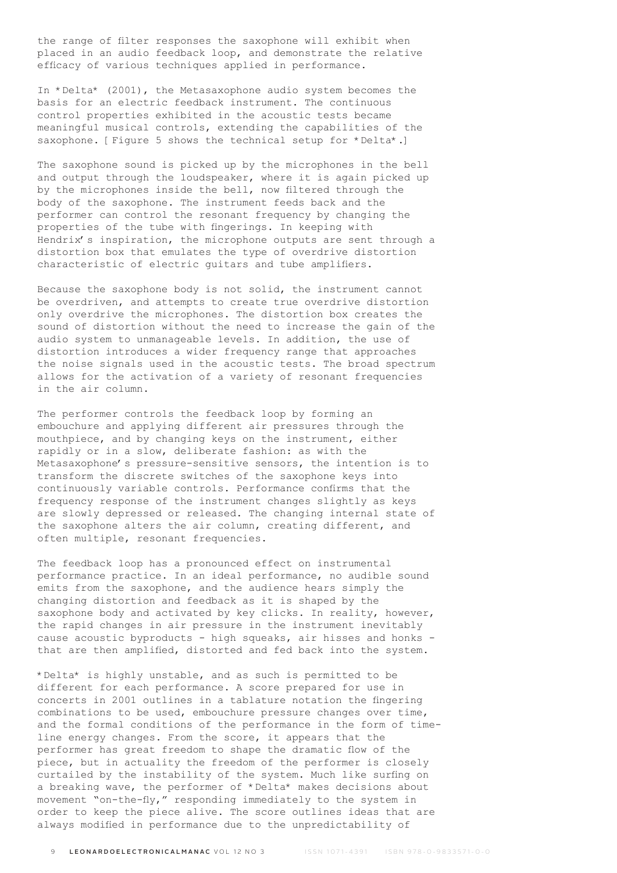the range of filter responses the saxophone will exhibit when placed in an audio feedback loop, and demonstrate the relative efficacy of various techniques applied in performance.

In \*Delta\* (2001), the Metasaxophone audio system becomes the basis for an electric feedback instrument. The continuous control properties exhibited in the acoustic tests became meaningful musical controls, extending the capabilities of the saxophone. [Figure 5 shows the technical setup for \*Delta\*.]

The saxophone sound is picked up by the microphones in the bell and output through the loudspeaker, where it is again picked up by the microphones inside the bell, now filtered through the body of the saxophone. The instrument feeds back and the performer can control the resonant frequency by changing the properties of the tube with fingerings. In keeping with Hendrix's inspiration, the microphone outputs are sent through a distortion box that emulates the type of overdrive distortion characteristic of electric guitars and tube amplifiers.

Because the saxophone body is not solid, the instrument cannot be overdriven, and attempts to create true overdrive distortion only overdrive the microphones. The distortion box creates the sound of distortion without the need to increase the gain of the audio system to unmanageable levels. In addition, the use of distortion introduces a wider frequency range that approaches the noise signals used in the acoustic tests. The broad spectrum allows for the activation of a variety of resonant frequencies in the air column.

The performer controls the feedback loop by forming an embouchure and applying different air pressures through the mouthpiece, and by changing keys on the instrument, either rapidly or in a slow, deliberate fashion: as with the Metasaxophone's pressure-sensitive sensors, the intention is to transform the discrete switches of the saxophone keys into continuously variable controls. Performance confirms that the frequency response of the instrument changes slightly as keys are slowly depressed or released. The changing internal state of the saxophone alters the air column, creating different, and often multiple, resonant frequencies.

The feedback loop has a pronounced effect on instrumental performance practice. In an ideal performance, no audible sound emits from the saxophone, and the audience hears simply the changing distortion and feedback as it is shaped by the saxophone body and activated by key clicks. In reality, however, the rapid changes in air pressure in the instrument inevitably cause acoustic byproducts - high squeaks, air hisses and honks that are then amplified, distorted and fed back into the system.

\*Delta\* is highly unstable, and as such is permitted to be different for each performance. A score prepared for use in concerts in 2001 outlines in a tablature notation the fingering combinations to be used, embouchure pressure changes over time, and the formal conditions of the performance in the form of timeline energy changes. From the score, it appears that the performer has great freedom to shape the dramatic flow of the piece, but in actuality the freedom of the performer is closely curtailed by the instability of the system. Much like surfing on a breaking wave, the performer of \*Delta\* makes decisions about movement "on-the-fly," responding immediately to the system in order to keep the piece alive. The score outlines ideas that are always modified in performance due to the unpredictability of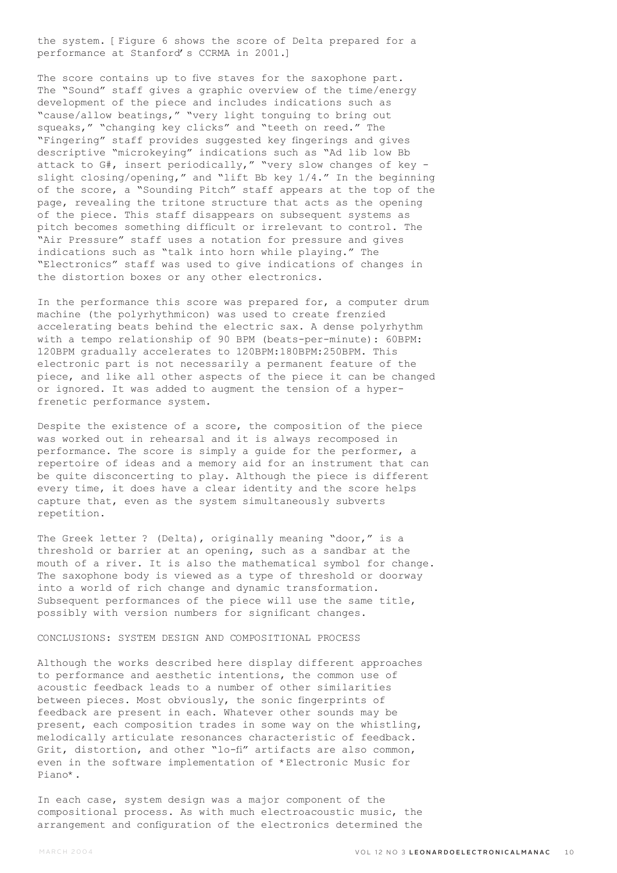the system. [Figure 6 shows the score of Delta prepared for a performance at Stanford's CCRMA in 2001.]

The score contains up to five staves for the saxophone part. The "Sound" staff gives a graphic overview of the time/energy development of the piece and includes indications such as "cause/allow beatings," "very light tonguing to bring out squeaks," "changing key clicks" and "teeth on reed." The "Fingering" staff provides suggested key fingerings and gives descriptive "microkeying" indications such as "Ad lib low Bb attack to G#, insert periodically," "very slow changes of key slight closing/opening," and "lift Bb key 1/4." In the beginning of the score, a "Sounding Pitch" staff appears at the top of the page, revealing the tritone structure that acts as the opening of the piece. This staff disappears on subsequent systems as pitch becomes something difficult or irrelevant to control. The "Air Pressure" staff uses a notation for pressure and gives indications such as "talk into horn while playing." The "Electronics" staff was used to give indications of changes in the distortion boxes or any other electronics.

In the performance this score was prepared for, a computer drum machine (the polyrhythmicon) was used to create frenzied accelerating beats behind the electric sax. A dense polyrhythm with a tempo relationship of 90 BPM (beats-per-minute): 60BPM: 120BPM gradually accelerates to 120BPM:180BPM:250BPM. This electronic part is not necessarily a permanent feature of the piece, and like all other aspects of the piece it can be changed or ignored. It was added to augment the tension of a hyperfrenetic performance system.

Despite the existence of a score, the composition of the piece was worked out in rehearsal and it is always recomposed in performance. The score is simply a guide for the performer, a repertoire of ideas and a memory aid for an instrument that can be quite disconcerting to play. Although the piece is different every time, it does have a clear identity and the score helps capture that, even as the system simultaneously subverts repetition.

The Greek letter ? (Delta), originally meaning "door," is a threshold or barrier at an opening, such as a sandbar at the mouth of a river. It is also the mathematical symbol for change. The saxophone body is viewed as a type of threshold or doorway into a world of rich change and dynamic transformation. Subsequent performances of the piece will use the same title, possibly with version numbers for significant changes.

### CONCLUSIONS: SYSTEM DESIGN AND COMPOSITIONAL PROCESS

Although the works described here display different approaches to performance and aesthetic intentions, the common use of acoustic feedback leads to a number of other similarities between pieces. Most obviously, the sonic fingerprints of feedback are present in each. Whatever other sounds may be present, each composition trades in some way on the whistling, melodically articulate resonances characteristic of feedback. Grit, distortion, and other "lo-fi" artifacts are also common, even in the software implementation of \*Electronic Music for Piano\*.

In each case, system design was a major component of the compositional process. As with much electroacoustic music, the arrangement and configuration of the electronics determined the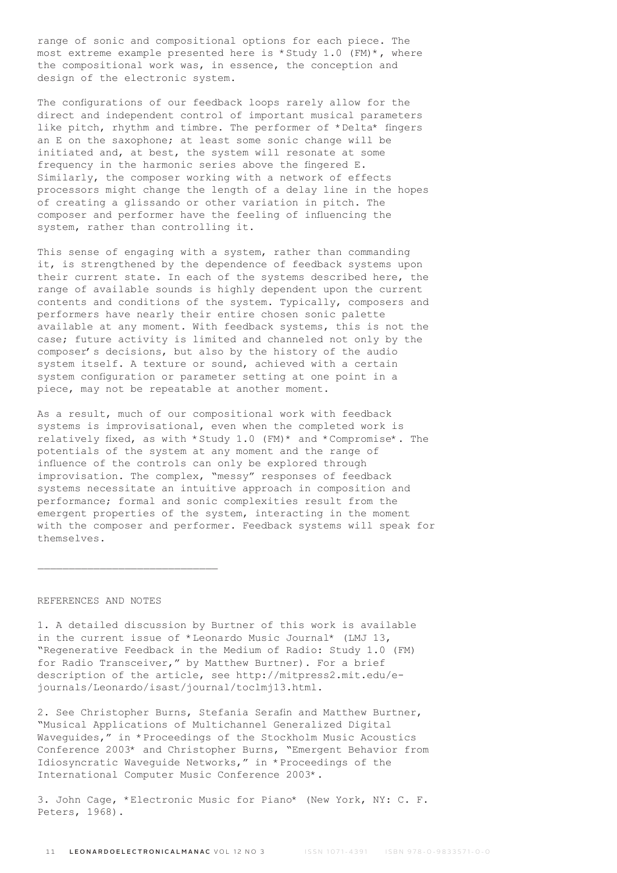range of sonic and compositional options for each piece. The most extreme example presented here is \*Study 1.0 (FM)\*, where the compositional work was, in essence, the conception and design of the electronic system.

The configurations of our feedback loops rarely allow for the direct and independent control of important musical parameters like pitch, rhythm and timbre. The performer of \*Delta\* fingers an E on the saxophone; at least some sonic change will be initiated and, at best, the system will resonate at some frequency in the harmonic series above the fingered E. Similarly, the composer working with a network of effects processors might change the length of a delay line in the hopes of creating a glissando or other variation in pitch. The composer and performer have the feeling of influencing the system, rather than controlling it.

This sense of engaging with a system, rather than commanding it, is strengthened by the dependence of feedback systems upon their current state. In each of the systems described here, the range of available sounds is highly dependent upon the current contents and conditions of the system. Typically, composers and performers have nearly their entire chosen sonic palette available at any moment. With feedback systems, this is not the case; future activity is limited and channeled not only by the composer's decisions, but also by the history of the audio system itself. A texture or sound, achieved with a certain system configuration or parameter setting at one point in a piece, may not be repeatable at another moment.

As a result, much of our compositional work with feedback systems is improvisational, even when the completed work is relatively fixed, as with \*Study 1.0 (FM)\* and \*Compromise\*. The potentials of the system at any moment and the range of influence of the controls can only be explored through improvisation. The complex, "messy" responses of feedback systems necessitate an intuitive approach in composition and performance; formal and sonic complexities result from the emergent properties of the system, interacting in the moment with the composer and performer. Feedback systems will speak for themselves.

## REFERENCES AND NOTES

 $\mathcal{L}_\text{max}$ 

1. A detailed discussion by Burtner of this work is available in the current issue of \*Leonardo Music Journal\* (LMJ 13, "Regenerative Feedback in the Medium of Radio: Study 1.0 (FM) for Radio Transceiver," by Matthew Burtner). For a brief description of the article, see http://mitpress2.mit.edu/ejournals/Leonardo/isast/journal/toclmj13.html.

2. See Christopher Burns, Stefania Serafin and Matthew Burtner, "Musical Applications of Multichannel Generalized Digital Waveguides," in \*Proceedings of the Stockholm Music Acoustics Conference 2003\* and Christopher Burns, "Emergent Behavior from Idiosyncratic Waveguide Networks," in \*Proceedings of the International Computer Music Conference 2003\*.

3. John Cage, \*Electronic Music for Piano\* (New York, NY: C. F. Peters, 1968).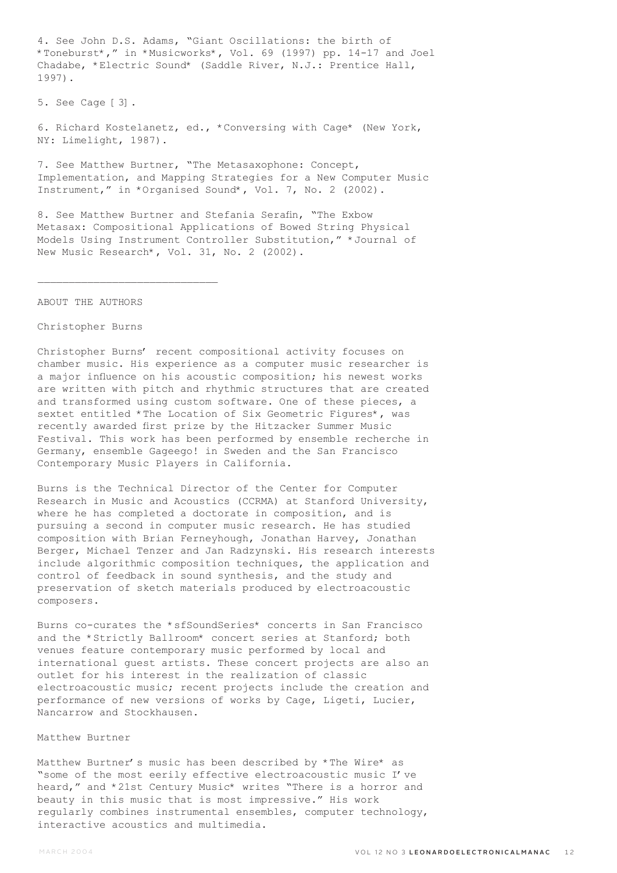4. See John D.S. Adams, "Giant Oscillations: the birth of \*Toneburst\*," in \*Musicworks\*, Vol. 69 (1997) pp. 14-17 and Joel Chadabe, \*Electric Sound\* (Saddle River, N.J.: Prentice Hall, 1997).

5. See Cage [3].

6. Richard Kostelanetz, ed., \*Conversing with Cage\* (New York, NY: Limelight, 1987).

7. See Matthew Burtner, "The Metasaxophone: Concept, Implementation, and Mapping Strategies for a New Computer Music Instrument," in \*Organised Sound\*, Vol. 7, No. 2 (2002).

8. See Matthew Burtner and Stefania Serafin, "The Exbow Metasax: Compositional Applications of Bowed String Physical Models Using Instrument Controller Substitution," \*Journal of New Music Research\*, Vol. 31, No. 2 (2002).

ABOUT THE AUTHORS

 $\mathcal{L}_\text{max}$ 

#### Christopher Burns

Christopher Burns' recent compositional activity focuses on chamber music. His experience as a computer music researcher is a major influence on his acoustic composition; his newest works are written with pitch and rhythmic structures that are created and transformed using custom software. One of these pieces, a sextet entitled \*The Location of Six Geometric Figures\*, was recently awarded first prize by the Hitzacker Summer Music Festival. This work has been performed by ensemble recherche in Germany, ensemble Gageego! in Sweden and the San Francisco Contemporary Music Players in California.

Burns is the Technical Director of the Center for Computer Research in Music and Acoustics (CCRMA) at Stanford University, where he has completed a doctorate in composition, and is pursuing a second in computer music research. He has studied composition with Brian Ferneyhough, Jonathan Harvey, Jonathan Berger, Michael Tenzer and Jan Radzynski. His research interests include algorithmic composition techniques, the application and control of feedback in sound synthesis, and the study and preservation of sketch materials produced by electroacoustic composers.

Burns co-curates the \*sfSoundSeries\* concerts in San Francisco and the \*Strictly Ballroom\* concert series at Stanford; both venues feature contemporary music performed by local and international guest artists. These concert projects are also an outlet for his interest in the realization of classic electroacoustic music; recent projects include the creation and performance of new versions of works by Cage, Ligeti, Lucier, Nancarrow and Stockhausen.

## Matthew Burtner

Matthew Burtner's music has been described by \*The Wire\* as "some of the most eerily effective electroacoustic music I've heard," and \*21st Century Music\* writes "There is a horror and beauty in this music that is most impressive." His work regularly combines instrumental ensembles, computer technology, interactive acoustics and multimedia.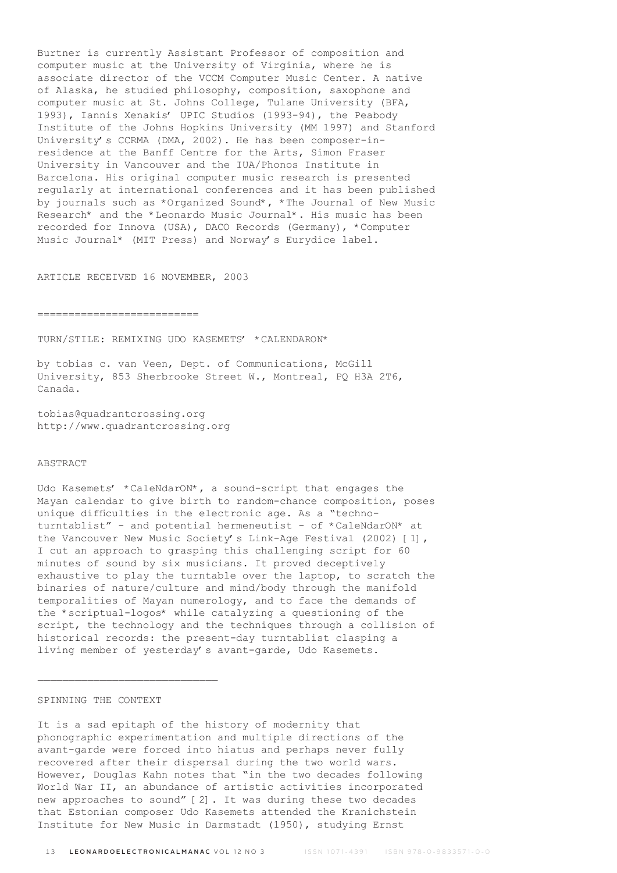Burtner is currently Assistant Professor of composition and computer music at the University of Virginia, where he is associate director of the VCCM Computer Music Center. A native of Alaska, he studied philosophy, composition, saxophone and computer music at St. Johns College, Tulane University (BFA, 1993), Iannis Xenakis' UPIC Studios (1993-94), the Peabody Institute of the Johns Hopkins University (MM 1997) and Stanford University's CCRMA (DMA, 2002). He has been composer-inresidence at the Banff Centre for the Arts, Simon Fraser University in Vancouver and the IUA/Phonos Institute in Barcelona. His original computer music research is presented regularly at international conferences and it has been published by journals such as \*Organized Sound\*, \*The Journal of New Music Research\* and the \*Leonardo Music Journal\*. His music has been recorded for Innova (USA), DACO Records (Germany), \*Computer Music Journal\* (MIT Press) and Norway's Eurydice label.

ARTICLE RECEIVED 16 NOVEMBER, 2003

==========================

TURN/STILE: REMIXING UDO KASEMETS' \*CALENDARON\*

by tobias c. van Veen, Dept. of Communications, McGill University, 853 Sherbrooke Street W., Montreal, PQ H3A 2T6, Canada.

tobias@quadrantcrossing.org http://www.quadrantcrossing.org

## ABSTRACT

Udo Kasemets' \*CaleNdarON\*, a sound-script that engages the Mayan calendar to give birth to random-chance composition, poses unique difficulties in the electronic age. As a "technoturntablist" - and potential hermeneutist - of \*CaleNdarON\* at the Vancouver New Music Society's Link-Age Festival (2002) [1], I cut an approach to grasping this challenging script for 60 minutes of sound by six musicians. It proved deceptively exhaustive to play the turntable over the laptop, to scratch the binaries of nature/culture and mind/body through the manifold temporalities of Mayan numerology, and to face the demands of the \*scriptual-logos\* while catalyzing a questioning of the script, the technology and the techniques through a collision of historical records: the present-day turntablist clasping a living member of yesterday's avant-garde, Udo Kasemets.

## SPINNING THE CONTEXT

It is a sad epitaph of the history of modernity that phonographic experimentation and multiple directions of the avant-garde were forced into hiatus and perhaps never fully recovered after their dispersal during the two world wars. However, Douglas Kahn notes that "in the two decades following World War II, an abundance of artistic activities incorporated new approaches to sound" [2]. It was during these two decades that Estonian composer Udo Kasemets attended the Kranichstein Institute for New Music in Darmstadt (1950), studying Ernst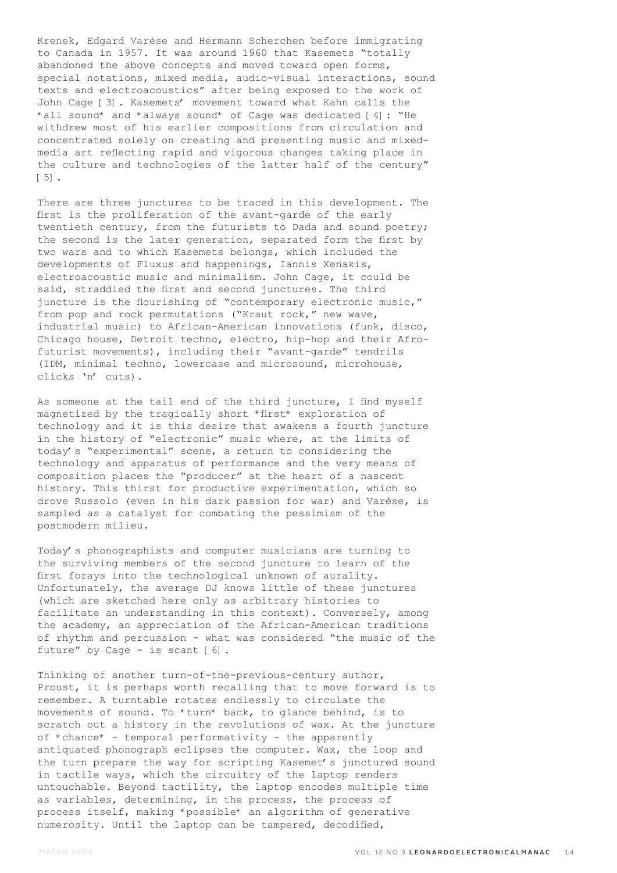Krenek, Edgard Varèse and Hermann Scherchen before immigrating to Canada in 1957. It was around 1960 that Kasemets "totally abandoned the above concepts and moved toward open forms, special notations, mixed media, audio-visual interactions, sound texts and electroacoustics" after being exposed to the work of John Cage [3]. Kasemets' movement toward what Kahn calls the \*all sound\* and \*always sound\* of Cage was dedicated [4]: "He withdrew most of his earlier compositions from circulation and concentrated solely on creating and presenting music and mixedmedia art reflecting rapid and vigorous changes taking place in the culture and technologies of the latter half of the century" [5].

There are three junctures to be traced in this development. The first is the proliferation of the avant-garde of the early twentieth century, from the futurists to Dada and sound poetry; the second is the later generation, separated form the first by two wars and to which Kasemets belongs, which included the developments of Fluxus and happenings, Iannis Xenakis, electroacoustic music and minimalism. John Cage, it could be said, straddled the first and second junctures. The third juncture is the flourishing of "contemporary electronic music," from pop and rock permutations ("Kraut rock," new wave, industrial music) to African-American innovations (funk, disco, Chicago house, Detroit techno, electro, hip-hop and their Afrofuturist movements), including their "avant-garde" tendrils (IDM, minimal techno, lowercase and microsound, microhouse, clicks 'n' cuts).

As someone at the tail end of the third juncture, I find myself magnetized by the tragically short \*first\* exploration of technology and it is this desire that awakens a fourth juncture in the history of "electronic" music where, at the limits of today's "experimental" scene, a return to considering the technology and apparatus of performance and the very means of composition places the "producer" at the heart of a nascent history. This thirst for productive experimentation, which so drove Russolo (even in his dark passion for war) and Varèse, is sampled as a catalyst for combating the pessimism of the postmodern milieu.

Today's phonographists and computer musicians are turning to the surviving members of the second juncture to learn of the first forays into the technological unknown of aurality. Unfortunately, the average DJ knows little of these junctures (which are sketched here only as arbitrary histories to facilitate an understanding in this context). Conversely, among the academy, an appreciation of the African-American traditions of rhythm and percussion - what was considered "the music of the future" by Cage - is scant [6].

Thinking of another turn-of-the-previous-century author, Proust, it is perhaps worth recalling that to move forward is to remember. A turntable rotates endlessly to circulate the movements of sound. To \*turn\* back, to glance behind, is to scratch out a history in the revolutions of wax. At the juncture of \*chance\* - temporal performativity - the apparently antiquated phonograph eclipses the computer. Wax, the loop and the turn prepare the way for scripting Kasemet's junctured sound in tactile ways, which the circuitry of the laptop renders untouchable. Beyond tactility, the laptop encodes multiple time as variables, determining, in the process, the process of process itself, making \*possible\* an algorithm of generative numerosity. Until the laptop can be tampered, decodified,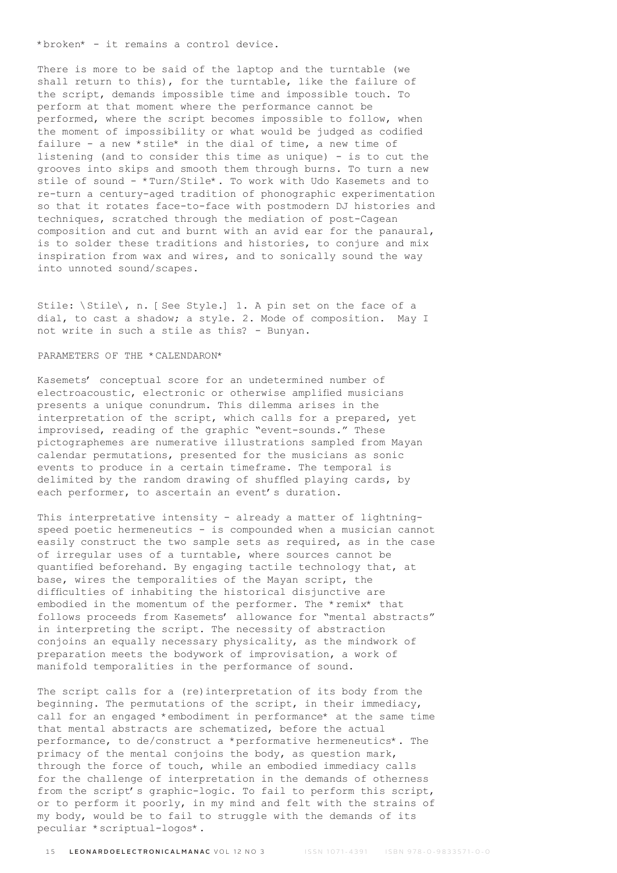\*broken\* - it remains a control device.

There is more to be said of the laptop and the turntable (we shall return to this), for the turntable, like the failure of the script, demands impossible time and impossible touch. To perform at that moment where the performance cannot be performed, where the script becomes impossible to follow, when the moment of impossibility or what would be judged as codified failure - a new \*stile\* in the dial of time, a new time of listening (and to consider this time as unique) - is to cut the grooves into skips and smooth them through burns. To turn a new stile of sound - \*Turn/Stile\*. To work with Udo Kasemets and to re-turn a century-aged tradition of phonographic experimentation so that it rotates face-to-face with postmodern DJ histories and techniques, scratched through the mediation of post-Cagean composition and cut and burnt with an avid ear for the panaural, is to solder these traditions and histories, to conjure and mix inspiration from wax and wires, and to sonically sound the way into unnoted sound/scapes.

Stile: \Stile\, n. [See Style.] 1. A pin set on the face of a dial, to cast a shadow; a style. 2. Mode of composition. May I not write in such a stile as this? - Bunyan.

#### PARAMETERS OF THE \*CALENDARON\*

Kasemets' conceptual score for an undetermined number of electroacoustic, electronic or otherwise amplified musicians presents a unique conundrum. This dilemma arises in the interpretation of the script, which calls for a prepared, yet improvised, reading of the graphic "event-sounds." These pictographemes are numerative illustrations sampled from Mayan calendar permutations, presented for the musicians as sonic events to produce in a certain timeframe. The temporal is delimited by the random drawing of shuffled playing cards, by each performer, to ascertain an event's duration.

This interpretative intensity - already a matter of lightningspeed poetic hermeneutics - is compounded when a musician cannot easily construct the two sample sets as required, as in the case of irregular uses of a turntable, where sources cannot be quantified beforehand. By engaging tactile technology that, at base, wires the temporalities of the Mayan script, the difficulties of inhabiting the historical disjunctive are embodied in the momentum of the performer. The \*remix\* that follows proceeds from Kasemets' allowance for "mental abstracts" in interpreting the script. The necessity of abstraction conjoins an equally necessary physicality, as the mindwork of preparation meets the bodywork of improvisation, a work of manifold temporalities in the performance of sound.

The script calls for a (re)interpretation of its body from the beginning. The permutations of the script, in their immediacy, call for an engaged \*embodiment in performance\* at the same time that mental abstracts are schematized, before the actual performance, to de/construct a \*performative hermeneutics\*. The primacy of the mental conjoins the body, as question mark, through the force of touch, while an embodied immediacy calls for the challenge of interpretation in the demands of otherness from the script's graphic-logic. To fail to perform this script, or to perform it poorly, in my mind and felt with the strains of my body, would be to fail to struggle with the demands of its peculiar \*scriptual-logos\*.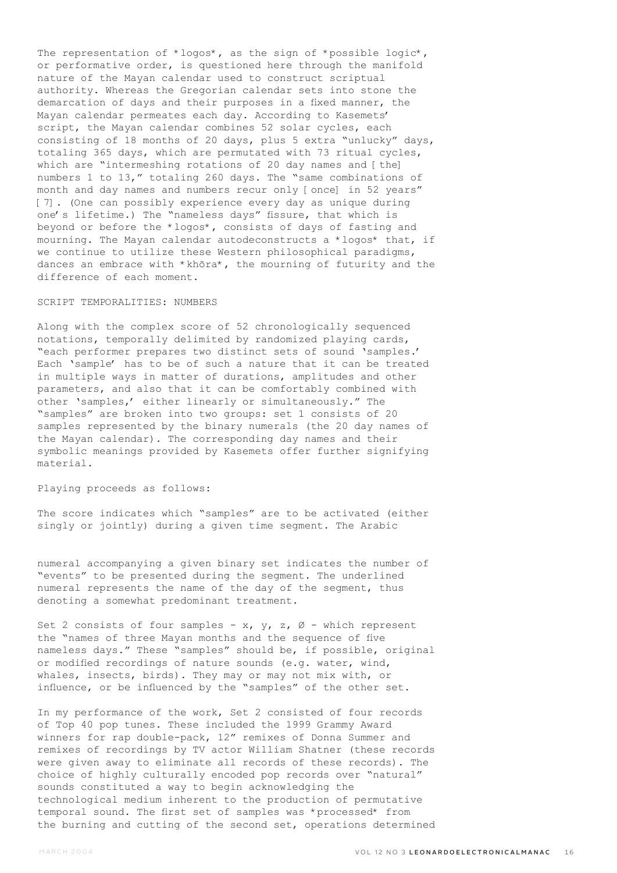The representation of \*logos\*, as the sign of \*possible logic\*, or performative order, is questioned here through the manifold nature of the Mayan calendar used to construct scriptual authority. Whereas the Gregorian calendar sets into stone the demarcation of days and their purposes in a fixed manner, the Mayan calendar permeates each day. According to Kasemets' script, the Mayan calendar combines 52 solar cycles, each consisting of 18 months of 20 days, plus 5 extra "unlucky" days, totaling 365 days, which are permutated with 73 ritual cycles, which are "intermeshing rotations of 20 day names and [the] numbers 1 to 13," totaling 260 days. The "same combinations of month and day names and numbers recur only [once] in 52 years" [7]. (One can possibly experience every day as unique during one's lifetime.) The "nameless days" fissure, that which is beyond or before the \*logos\*, consists of days of fasting and mourning. The Mayan calendar autodeconstructs a \*logos\* that, if we continue to utilize these Western philosophical paradigms, dances an embrace with \*khõra\*, the mourning of futurity and the difference of each moment.

## SCRIPT TEMPORALITIES: NUMBERS

Along with the complex score of 52 chronologically sequenced notations, temporally delimited by randomized playing cards, "each performer prepares two distinct sets of sound 'samples.' Each 'sample' has to be of such a nature that it can be treated in multiple ways in matter of durations, amplitudes and other parameters, and also that it can be comfortably combined with other 'samples,' either linearly or simultaneously." The "samples" are broken into two groups: set 1 consists of 20 samples represented by the binary numerals (the 20 day names of the Mayan calendar). The corresponding day names and their symbolic meanings provided by Kasemets offer further signifying material.

## Playing proceeds as follows:

The score indicates which "samples" are to be activated (either singly or jointly) during a given time segment. The Arabic

numeral accompanying a given binary set indicates the number of "events" to be presented during the segment. The underlined numeral represents the name of the day of the segment, thus denoting a somewhat predominant treatment.

Set 2 consists of four samples - x,  $y$ , z,  $\emptyset$  - which represent the "names of three Mayan months and the sequence of five nameless days." These "samples" should be, if possible, original or modified recordings of nature sounds (e.g. water, wind, whales, insects, birds). They may or may not mix with, or influence, or be influenced by the "samples" of the other set.

In my performance of the work, Set 2 consisted of four records of Top 40 pop tunes. These included the 1999 Grammy Award winners for rap double-pack, 12" remixes of Donna Summer and remixes of recordings by TV actor William Shatner (these records were given away to eliminate all records of these records). The choice of highly culturally encoded pop records over "natural" sounds constituted a way to begin acknowledging the technological medium inherent to the production of permutative temporal sound. The first set of samples was \*processed\* from the burning and cutting of the second set, operations determined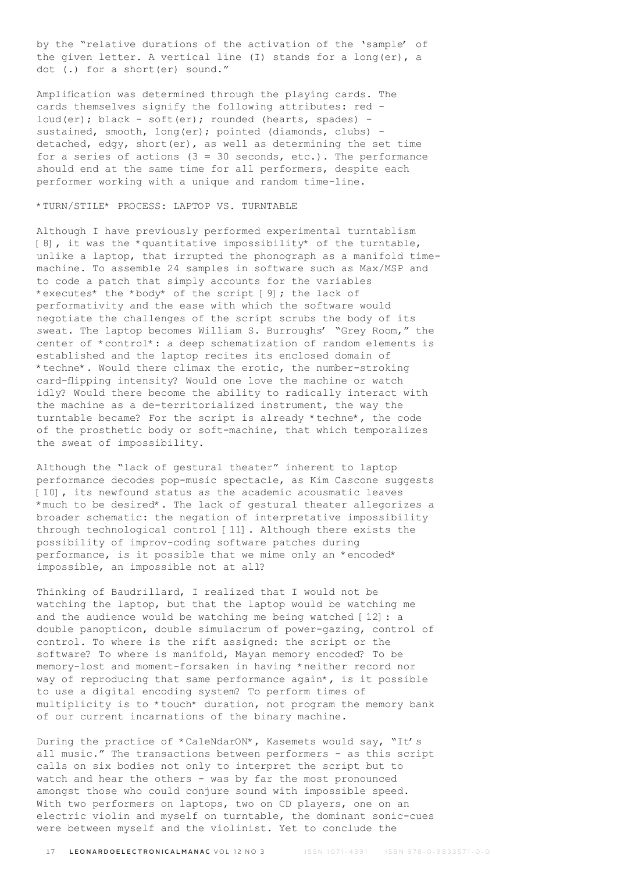by the "relative durations of the activation of the 'sample' of the given letter. A vertical line (I) stands for a long(er), a dot (.) for a short(er) sound."

Amplification was determined through the playing cards. The cards themselves signify the following attributes: red loud(er); black - soft(er); rounded (hearts, spades) sustained, smooth, long(er); pointed (diamonds, clubs) detached, edgy, short(er), as well as determining the set time for a series of actions  $(3 = 30$  seconds, etc.). The performance should end at the same time for all performers, despite each performer working with a unique and random time-line.

#### \*TURN/STILE\* PROCESS: LAPTOP VS. TURNTABLE

Although I have previously performed experimental turntablism [8], it was the \*quantitative impossibility\* of the turntable, unlike a laptop, that irrupted the phonograph as a manifold timemachine. To assemble 24 samples in software such as Max/MSP and to code a patch that simply accounts for the variables \*executes\* the \*body\* of the script [9]; the lack of performativity and the ease with which the software would negotiate the challenges of the script scrubs the body of its sweat. The laptop becomes William S. Burroughs' "Grey Room," the center of \*control\*: a deep schematization of random elements is established and the laptop recites its enclosed domain of \*techne\*. Would there climax the erotic, the number-stroking card-flipping intensity? Would one love the machine or watch idly? Would there become the ability to radically interact with the machine as a de-territorialized instrument, the way the turntable became? For the script is already \*techne\*, the code of the prosthetic body or soft-machine, that which temporalizes the sweat of impossibility.

Although the "lack of gestural theater" inherent to laptop performance decodes pop-music spectacle, as Kim Cascone suggests [10], its newfound status as the academic acousmatic leaves \*much to be desired\*. The lack of gestural theater allegorizes a broader schematic: the negation of interpretative impossibility through technological control [11]. Although there exists the possibility of improv-coding software patches during performance, is it possible that we mime only an \*encoded\* impossible, an impossible not at all?

Thinking of Baudrillard, I realized that I would not be watching the laptop, but that the laptop would be watching me and the audience would be watching me being watched [12]: a double panopticon, double simulacrum of power-gazing, control of control. To where is the rift assigned: the script or the software? To where is manifold, Mayan memory encoded? To be memory-lost and moment-forsaken in having \*neither record nor way of reproducing that same performance again\*, is it possible to use a digital encoding system? To perform times of multiplicity is to \*touch\* duration, not program the memory bank of our current incarnations of the binary machine.

During the practice of \*CaleNdarON\*, Kasemets would say, "It's all music." The transactions between performers - as this script calls on six bodies not only to interpret the script but to watch and hear the others - was by far the most pronounced amongst those who could conjure sound with impossible speed. With two performers on laptops, two on CD players, one on an electric violin and myself on turntable, the dominant sonic-cues were between myself and the violinist. Yet to conclude the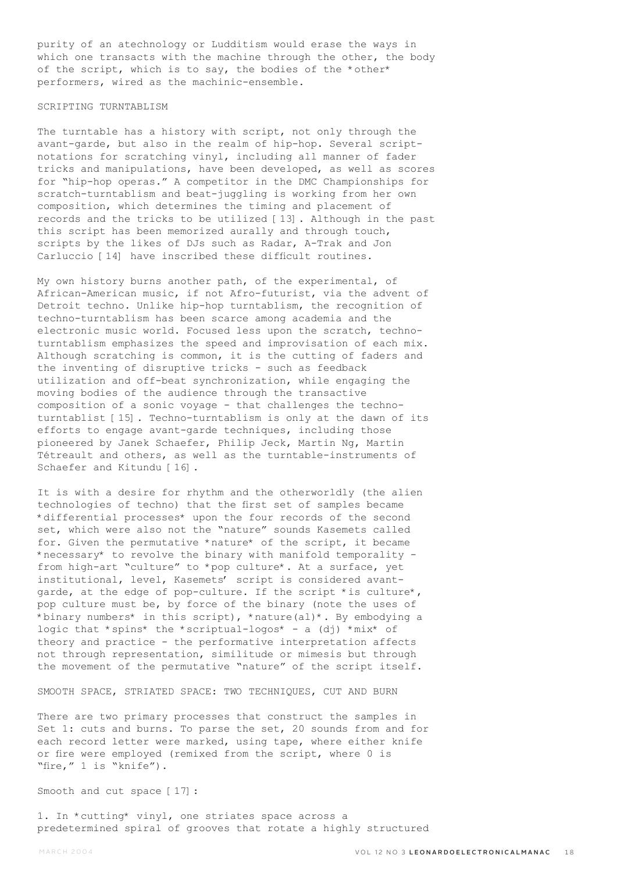purity of an atechnology or Ludditism would erase the ways in which one transacts with the machine through the other, the body of the script, which is to say, the bodies of the \*other\* performers, wired as the machinic-ensemble.

## SCRIPTING TURNTABLISM

The turntable has a history with script, not only through the avant-garde, but also in the realm of hip-hop. Several scriptnotations for scratching vinyl, including all manner of fader tricks and manipulations, have been developed, as well as scores for "hip-hop operas." A competitor in the DMC Championships for scratch-turntablism and beat-juggling is working from her own composition, which determines the timing and placement of records and the tricks to be utilized [13]. Although in the past this script has been memorized aurally and through touch, scripts by the likes of DJs such as Radar, A-Trak and Jon Carluccio [14] have inscribed these difficult routines.

My own history burns another path, of the experimental, of African-American music, if not Afro-futurist, via the advent of Detroit techno. Unlike hip-hop turntablism, the recognition of techno-turntablism has been scarce among academia and the electronic music world. Focused less upon the scratch, technoturntablism emphasizes the speed and improvisation of each mix. Although scratching is common, it is the cutting of faders and the inventing of disruptive tricks - such as feedback utilization and off-beat synchronization, while engaging the moving bodies of the audience through the transactive composition of a sonic voyage - that challenges the technoturntablist [15]. Techno-turntablism is only at the dawn of its efforts to engage avant-garde techniques, including those pioneered by Janek Schaefer, Philip Jeck, Martin Ng, Martin Tétreault and others, as well as the turntable-instruments of Schaefer and Kitundu [16].

It is with a desire for rhythm and the otherworldly (the alien technologies of techno) that the first set of samples became \*differential processes\* upon the four records of the second set, which were also not the "nature" sounds Kasemets called for. Given the permutative \*nature\* of the script, it became \*necessary\* to revolve the binary with manifold temporality from high-art "culture" to \*pop culture\*. At a surface, yet institutional, level, Kasemets' script is considered avantgarde, at the edge of pop-culture. If the script \*is culture\*, pop culture must be, by force of the binary (note the uses of \*binary numbers\* in this script), \*nature(al)\*. By embodying a logic that \*spins\* the \*scriptual-logos\* - a (dj) \*mix\* of theory and practice - the performative interpretation affects not through representation, similitude or mimesis but through the movement of the permutative "nature" of the script itself.

SMOOTH SPACE, STRIATED SPACE: TWO TECHNIQUES, CUT AND BURN

There are two primary processes that construct the samples in Set 1: cuts and burns. To parse the set, 20 sounds from and for each record letter were marked, using tape, where either knife or fire were employed (remixed from the script, where 0 is "fire," 1 is "knife").

Smooth and cut space [17]:

1. In \*cutting\* vinyl, one striates space across a predetermined spiral of grooves that rotate a highly structured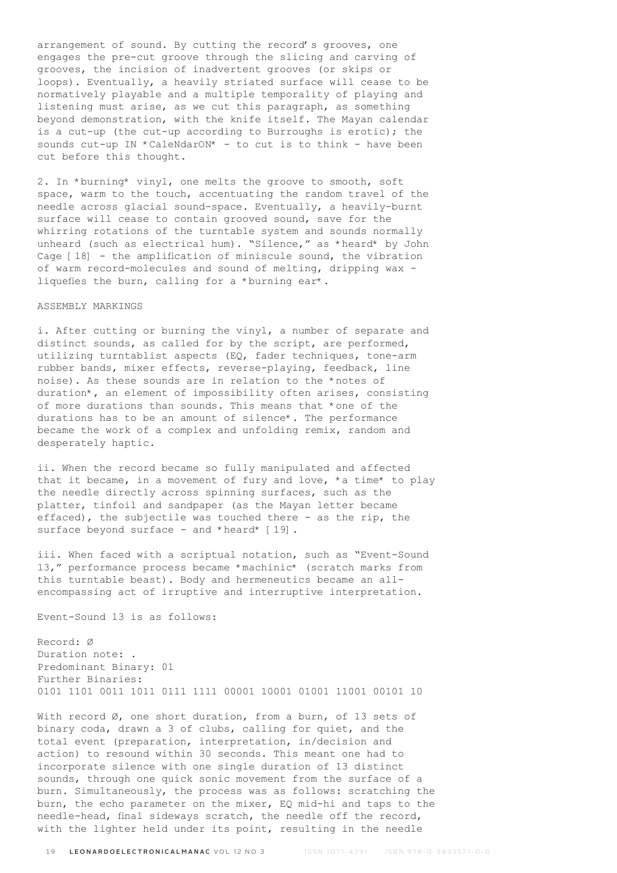arrangement of sound. By cutting the record's grooves, one engages the pre-cut groove through the slicing and carving of grooves, the incision of inadvertent grooves (or skips or loops). Eventually, a heavily striated surface will cease to be normatively playable and a multiple temporality of playing and listening must arise, as we cut this paragraph, as something beyond demonstration, with the knife itself. The Mayan calendar is a cut-up (the cut-up according to Burroughs is erotic); the sounds cut-up IN \*CaleNdarON\* - to cut is to think - have been cut before this thought.

2. In \*burning\* vinyl, one melts the groove to smooth, soft space, warm to the touch, accentuating the random travel of the needle across glacial sound-space. Eventually, a heavily-burnt surface will cease to contain grooved sound, save for the whirring rotations of the turntable system and sounds normally unheard (such as electrical hum). "Silence," as \*heard\* by John Cage [18] - the amplification of miniscule sound, the vibration of warm record-molecules and sound of melting, dripping wax liquefies the burn, calling for a \*burning ear\*.

#### ASSEMBLY MARKINGS

i. After cutting or burning the vinyl, a number of separate and distinct sounds, as called for by the script, are performed, utilizing turntablist aspects (EQ, fader techniques, tone-arm rubber bands, mixer effects, reverse-playing, feedback, line noise). As these sounds are in relation to the \*notes of duration\*, an element of impossibility often arises, consisting of more durations than sounds. This means that \*one of the durations has to be an amount of silence\*. The performance became the work of a complex and unfolding remix, random and desperately haptic.

ii. When the record became so fully manipulated and affected that it became, in a movement of fury and love, \*a time\* to play the needle directly across spinning surfaces, such as the platter, tinfoil and sandpaper (as the Mayan letter became effaced), the subjectile was touched there - as the rip, the surface beyond surface - and \*heard\* [19].

iii. When faced with a scriptual notation, such as "Event-Sound 13," performance process became \*machinic\* (scratch marks from this turntable beast). Body and hermeneutics became an allencompassing act of irruptive and interruptive interpretation.

Event-Sound 13 is as follows:

Record: Ø Duration note: . Predominant Binary: 01 Further Binaries: 0101 1101 0011 1011 0111 1111 00001 10001 01001 11001 00101 10

With record Ø, one short duration, from a burn, of 13 sets of binary coda, drawn a 3 of clubs, calling for quiet, and the total event (preparation, interpretation, in/decision and action) to resound within 30 seconds. This meant one had to incorporate silence with one single duration of 13 distinct sounds, through one quick sonic movement from the surface of a burn. Simultaneously, the process was as follows: scratching the burn, the echo parameter on the mixer, EQ mid-hi and taps to the needle-head, final sideways scratch, the needle off the record, with the lighter held under its point, resulting in the needle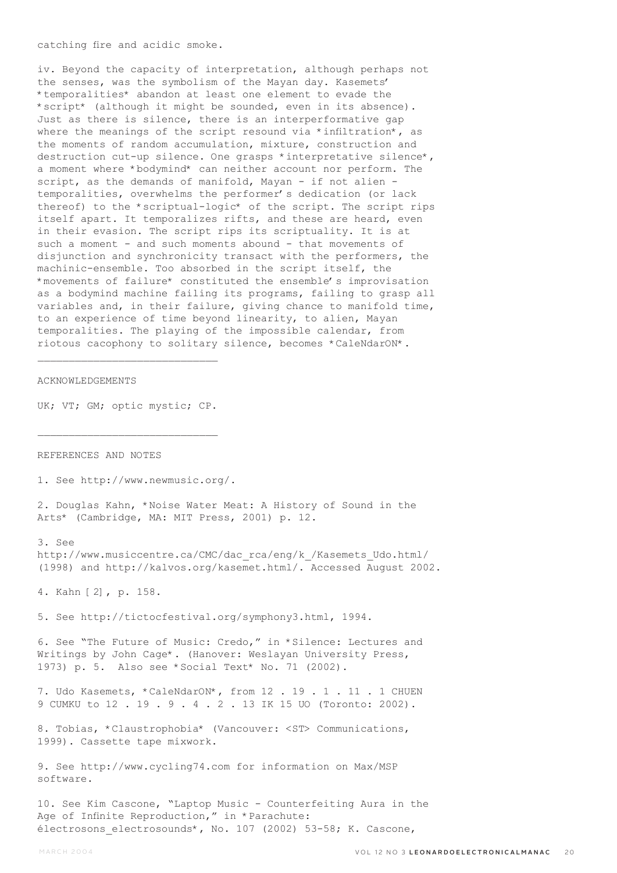catching fire and acidic smoke.

iv. Beyond the capacity of interpretation, although perhaps not the senses, was the symbolism of the Mayan day. Kasemets' \*temporalities\* abandon at least one element to evade the \*script\* (although it might be sounded, even in its absence). Just as there is silence, there is an interperformative gap where the meanings of the script resound via \*infiltration\*, as the moments of random accumulation, mixture, construction and destruction cut-up silence. One grasps \*interpretative silence\*, a moment where \*bodymind\* can neither account nor perform. The script, as the demands of manifold, Mayan - if not alien temporalities, overwhelms the performer's dedication (or lack thereof) to the \*scriptual-logic\* of the script. The script rips itself apart. It temporalizes rifts, and these are heard, even in their evasion. The script rips its scriptuality. It is at such a moment - and such moments abound - that movements of disjunction and synchronicity transact with the performers, the machinic-ensemble. Too absorbed in the script itself, the \*movements of failure\* constituted the ensemble's improvisation as a bodymind machine failing its programs, failing to grasp all variables and, in their failure, giving chance to manifold time, to an experience of time beyond linearity, to alien, Mayan temporalities. The playing of the impossible calendar, from riotous cacophony to solitary silence, becomes \*CaleNdarON\*.

#### ACKNOWLEDGEMENTS

UK; VT; GM; optic mystic; CP.

REFERENCES AND NOTES

1. See http://www.newmusic.org/.

2. Douglas Kahn, \*Noise Water Meat: A History of Sound in the Arts\* (Cambridge, MA: MIT Press, 2001) p. 12.

3. See

http://www.musiccentre.ca/CMC/dac\_rca/eng/k\_/Kasemets\_Udo.html/ (1998) and http://kalvos.org/kasemet.html/. Accessed August 2002.

4. Kahn [2], p. 158.

5. See http://tictocfestival.org/symphony3.html, 1994.

6. See "The Future of Music: Credo," in \*Silence: Lectures and Writings by John Cage\*. (Hanover: Weslayan University Press, 1973) p. 5. Also see \*Social Text\* No. 71 (2002).

7. Udo Kasemets, \*CaleNdarON\*, from 12 . 19 . 1 . 11 . 1 CHUEN 9 CUMKU to 12 . 19 . 9 . 4 . 2 . 13 IK 15 UO (Toronto: 2002).

8. Tobias, \*Claustrophobia\* (Vancouver: <ST> Communications, 1999). Cassette tape mixwork.

9. See http://www.cycling74.com for information on Max/MSP software.

10. See Kim Cascone, "Laptop Music - Counterfeiting Aura in the Age of Infinite Reproduction," in \*Parachute: électrosons electrosounds\*, No. 107 (2002) 53-58; K. Cascone,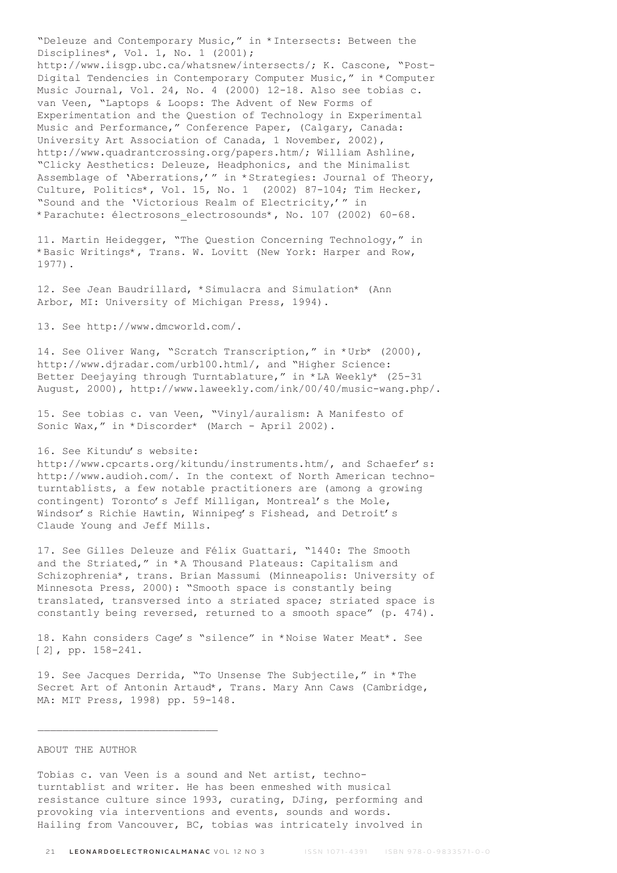"Deleuze and Contemporary Music," in \*Intersects: Between the Disciplines\*, Vol. 1, No. 1 (2001); http://www.iisgp.ubc.ca/whatsnew/intersects/; K. Cascone, "Post-Digital Tendencies in Contemporary Computer Music," in \*Computer Music Journal, Vol. 24, No. 4 (2000) 12-18. Also see tobias c. van Veen, "Laptops & Loops: The Advent of New Forms of Experimentation and the Question of Technology in Experimental Music and Performance," Conference Paper, (Calgary, Canada: University Art Association of Canada, 1 November, 2002), http://www.quadrantcrossing.org/papers.htm/; William Ashline, "Clicky Aesthetics: Deleuze, Headphonics, and the Minimalist Assemblage of 'Aberrations,'" in \*Strategies: Journal of Theory, Culture, Politics\*, Vol. 15, No. 1 (2002) 87-104; Tim Hecker, "Sound and the 'Victorious Realm of Electricity,'" in \*Parachute: électrosons\_electrosounds\*, No. 107 (2002) 60-68.

11. Martin Heidegger, "The Question Concerning Technology," in \*Basic Writings\*, Trans. W. Lovitt (New York: Harper and Row, 1977).

12. See Jean Baudrillard, \*Simulacra and Simulation\* (Ann Arbor, MI: University of Michigan Press, 1994).

13. See http://www.dmcworld.com/.

14. See Oliver Wang, "Scratch Transcription," in \*Urb\* (2000), http://www.djradar.com/urb100.html/, and "Higher Science: Better Deejaying through Turntablature," in \*LA Weekly\* (25-31 August, 2000), http://www.laweekly.com/ink/00/40/music-wang.php/.

15. See tobias c. van Veen, "Vinyl/auralism: A Manifesto of Sonic Wax," in \*Discorder\* (March - April 2002).

#### 16. See Kitundu's website:

http://www.cpcarts.org/kitundu/instruments.htm/, and Schaefer's: http://www.audioh.com/. In the context of North American technoturntablists, a few notable practitioners are (among a growing contingent) Toronto's Jeff Milligan, Montreal's the Mole, Windsor's Richie Hawtin, Winnipeg's Fishead, and Detroit's Claude Young and Jeff Mills.

17. See Gilles Deleuze and Félix Guattari, "1440: The Smooth and the Striated," in \*A Thousand Plateaus: Capitalism and Schizophrenia\*, trans. Brian Massumi (Minneapolis: University of Minnesota Press, 2000): "Smooth space is constantly being translated, transversed into a striated space; striated space is constantly being reversed, returned to a smooth space" (p. 474).

18. Kahn considers Cage's "silence" in \*Noise Water Meat\*. See [2], pp. 158-241.

19. See Jacques Derrida, "To Unsense The Subjectile," in \*The Secret Art of Antonin Artaud\*, Trans. Mary Ann Caws (Cambridge, MA: MIT Press, 1998) pp. 59-148.

#### ABOUT THE AUTHOR

Tobias c. van Veen is a sound and Net artist, technoturntablist and writer. He has been enmeshed with musical resistance culture since 1993, curating, DJing, performing and provoking via interventions and events, sounds and words. Hailing from Vancouver, BC, tobias was intricately involved in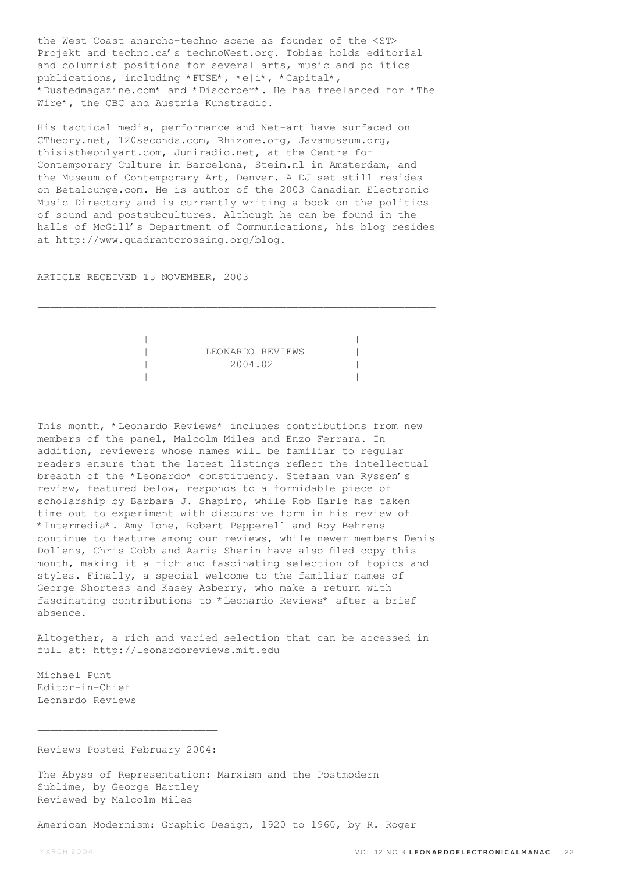the West Coast anarcho-techno scene as founder of the <ST> Projekt and techno.ca's technoWest.org. Tobias holds editorial and columnist positions for several arts, music and politics publications, including \*FUSE\*, \*e|i\*, \*Capital\*, \*Dustedmagazine.com\* and \*Discorder\*. He has freelanced for \*The Wire\*, the CBC and Austria Kunstradio.

His tactical media, performance and Net-art have surfaced on CTheory.net, 120seconds.com, Rhizome.org, Javamuseum.org, thisistheonlyart.com, Juniradio.net, at the Centre for Contemporary Culture in Barcelona, Steim.nl in Amsterdam, and the Museum of Contemporary Art, Denver. A DJ set still resides on Betalounge.com. He is author of the 2003 Canadian Electronic Music Directory and is currently writing a book on the politics of sound and postsubcultures. Although he can be found in the halls of McGill's Department of Communications, his blog resides at http://www.quadrantcrossing.org/blog.

ARTICLE RECEIVED 15 NOVEMBER, 2003



 $\mathcal{L}_\text{max}$ 

 $\mathcal{L}_\text{max}$ 

This month, \*Leonardo Reviews\* includes contributions from new members of the panel, Malcolm Miles and Enzo Ferrara. In addition, reviewers whose names will be familiar to regular readers ensure that the latest listings reflect the intellectual breadth of the \*Leonardo\* constituency. Stefaan van Ryssen's review, featured below, responds to a formidable piece of scholarship by Barbara J. Shapiro, while Rob Harle has taken time out to experiment with discursive form in his review of \*Intermedia\*. Amy Ione, Robert Pepperell and Roy Behrens continue to feature among our reviews, while newer members Denis Dollens, Chris Cobb and Aaris Sherin have also filed copy this month, making it a rich and fascinating selection of topics and styles. Finally, a special welcome to the familiar names of George Shortess and Kasey Asberry, who make a return with fascinating contributions to \*Leonardo Reviews\* after a brief absence.

Altogether, a rich and varied selection that can be accessed in full at: http://leonardoreviews.mit.edu

Michael Punt Editor-in-Chief Leonardo Reviews

Reviews Posted February 2004:

The Abyss of Representation: Marxism and the Postmodern Sublime, by George Hartley Reviewed by Malcolm Miles

American Modernism: Graphic Design, 1920 to 1960, by R. Roger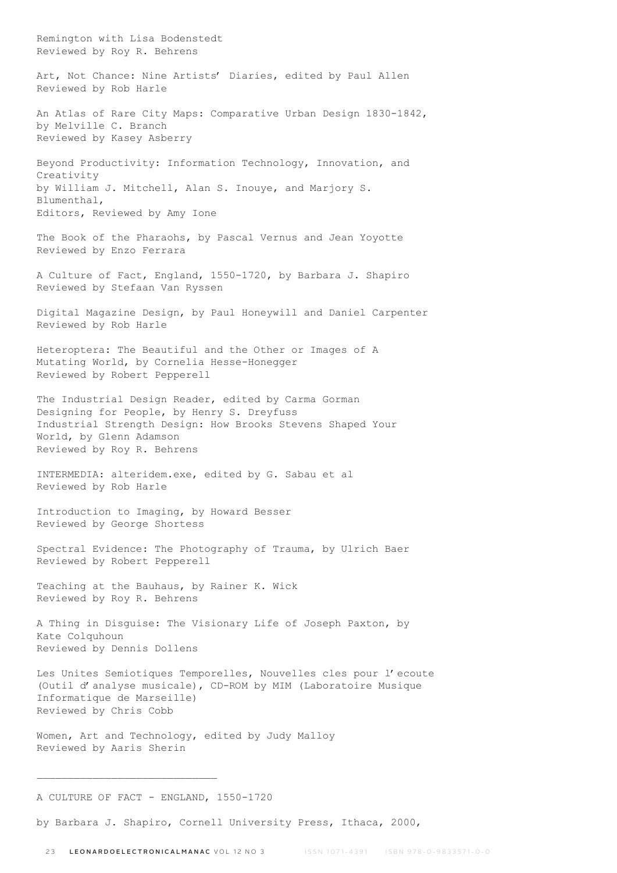Remington with Lisa Bodenstedt Reviewed by Roy R. Behrens Art, Not Chance: Nine Artists' Diaries, edited by Paul Allen Reviewed by Rob Harle An Atlas of Rare City Maps: Comparative Urban Design 1830-1842, by Melville C. Branch Reviewed by Kasey Asberry Beyond Productivity: Information Technology, Innovation, and Creativity by William J. Mitchell, Alan S. Inouye, and Marjory S. Blumenthal, Editors, Reviewed by Amy Ione The Book of the Pharaohs, by Pascal Vernus and Jean Yoyotte Reviewed by Enzo Ferrara A Culture of Fact, England, 1550-1720, by Barbara J. Shapiro Reviewed by Stefaan Van Ryssen Digital Magazine Design, by Paul Honeywill and Daniel Carpenter Reviewed by Rob Harle Heteroptera: The Beautiful and the Other or Images of A Mutating World, by Cornelia Hesse-Honegger Reviewed by Robert Pepperell The Industrial Design Reader, edited by Carma Gorman Designing for People, by Henry S. Dreyfuss Industrial Strength Design: How Brooks Stevens Shaped Your World, by Glenn Adamson Reviewed by Roy R. Behrens INTERMEDIA: alteridem.exe, edited by G. Sabau et al Reviewed by Rob Harle Introduction to Imaging, by Howard Besser Reviewed by George Shortess Spectral Evidence: The Photography of Trauma, by Ulrich Baer Reviewed by Robert Pepperell Teaching at the Bauhaus, by Rainer K. Wick Reviewed by Roy R. Behrens A Thing in Disguise: The Visionary Life of Joseph Paxton, by Kate Colquhoun Reviewed by Dennis Dollens Les Unites Semiotiques Temporelles, Nouvelles cles pour l'ecoute (Outil d'analyse musicale), CD-ROM by MIM (Laboratoire Musique Informatique de Marseille) Reviewed by Chris Cobb Women, Art and Technology, edited by Judy Malloy Reviewed by Aaris Sherin  $\overline{\phantom{a}}$  , where the contract of the contract of the contract of the contract of the contract of the contract of the contract of the contract of the contract of the contract of the contract of the contract of the contr A CULTURE OF FACT - ENGLAND, 1550-1720

by Barbara J. Shapiro, Cornell University Press, Ithaca, 2000,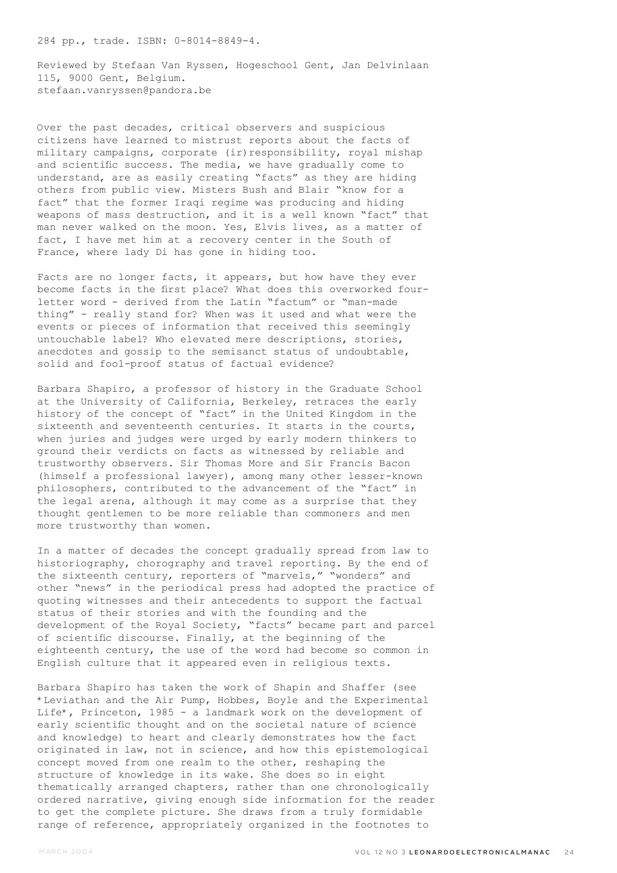284 pp., trade. ISBN: 0-8014-8849-4.

Reviewed by Stefaan Van Ryssen, Hogeschool Gent, Jan Delvinlaan 115, 9000 Gent, Belgium. stefaan.vanryssen@pandora.be

Over the past decades, critical observers and suspicious citizens have learned to mistrust reports about the facts of military campaigns, corporate (ir)responsibility, royal mishap and scientific success. The media, we have gradually come to understand, are as easily creating "facts" as they are hiding others from public view. Misters Bush and Blair "know for a fact" that the former Iraqi regime was producing and hiding weapons of mass destruction, and it is a well known "fact" that man never walked on the moon. Yes, Elvis lives, as a matter of fact, I have met him at a recovery center in the South of France, where lady Di has gone in hiding too.

Facts are no longer facts, it appears, but how have they ever become facts in the first place? What does this overworked fourletter word - derived from the Latin "factum" or "man-made thing" - really stand for? When was it used and what were the events or pieces of information that received this seemingly untouchable label? Who elevated mere descriptions, stories, anecdotes and gossip to the semisanct status of undoubtable, solid and fool-proof status of factual evidence?

Barbara Shapiro, a professor of history in the Graduate School at the University of California, Berkeley, retraces the early history of the concept of "fact" in the United Kingdom in the sixteenth and seventeenth centuries. It starts in the courts, when juries and judges were urged by early modern thinkers to ground their verdicts on facts as witnessed by reliable and trustworthy observers. Sir Thomas More and Sir Francis Bacon (himself a professional lawyer), among many other lesser-known philosophers, contributed to the advancement of the "fact" in the legal arena, although it may come as a surprise that they thought gentlemen to be more reliable than commoners and men more trustworthy than women.

In a matter of decades the concept gradually spread from law to historiography, chorography and travel reporting. By the end of the sixteenth century, reporters of "marvels," "wonders" and other "news" in the periodical press had adopted the practice of quoting witnesses and their antecedents to support the factual status of their stories and with the founding and the development of the Royal Society, "facts" became part and parcel of scientific discourse. Finally, at the beginning of the eighteenth century, the use of the word had become so common in English culture that it appeared even in religious texts.

Barbara Shapiro has taken the work of Shapin and Shaffer (see \*Leviathan and the Air Pump, Hobbes, Boyle and the Experimental Life\*, Princeton, 1985 - a landmark work on the development of early scientific thought and on the societal nature of science and knowledge) to heart and clearly demonstrates how the fact originated in law, not in science, and how this epistemological concept moved from one realm to the other, reshaping the structure of knowledge in its wake. She does so in eight thematically arranged chapters, rather than one chronologically ordered narrative, giving enough side information for the reader to get the complete picture. She draws from a truly formidable range of reference, appropriately organized in the footnotes to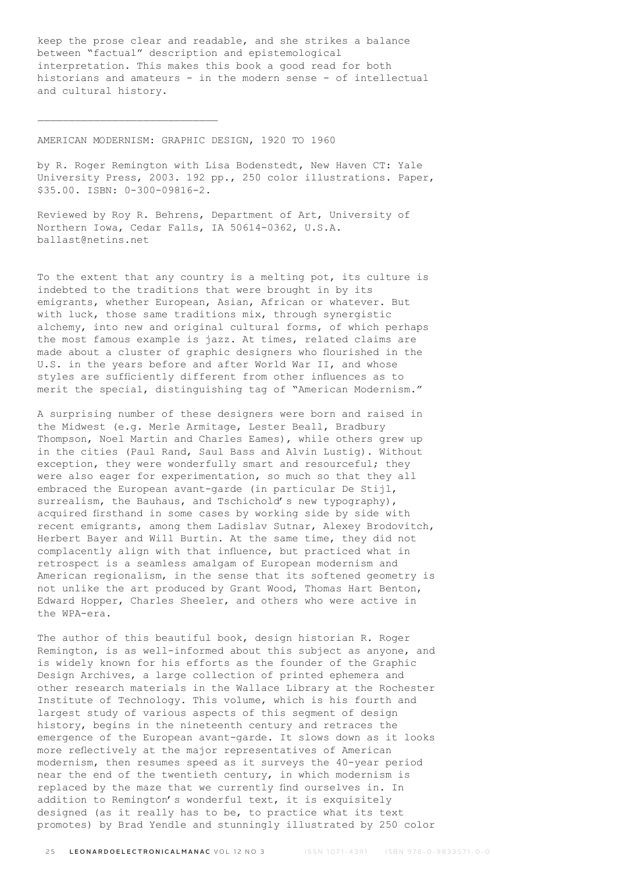keep the prose clear and readable, and she strikes a balance between "factual" description and epistemological interpretation. This makes this book a good read for both historians and amateurs - in the modern sense - of intellectual and cultural history.

AMERICAN MODERNISM: GRAPHIC DESIGN, 1920 TO 1960

by R. Roger Remington with Lisa Bodenstedt, New Haven CT: Yale University Press, 2003. 192 pp., 250 color illustrations. Paper, \$35.00. ISBN: 0-300-09816-2.

Reviewed by Roy R. Behrens, Department of Art, University of Northern Iowa, Cedar Falls, IA 50614-0362, U.S.A. ballast@netins.net

To the extent that any country is a melting pot, its culture is indebted to the traditions that were brought in by its emigrants, whether European, Asian, African or whatever. But with luck, those same traditions mix, through synergistic alchemy, into new and original cultural forms, of which perhaps the most famous example is jazz. At times, related claims are made about a cluster of graphic designers who flourished in the U.S. in the years before and after World War II, and whose styles are sufficiently different from other influences as to merit the special, distinguishing tag of "American Modernism."

A surprising number of these designers were born and raised in the Midwest (e.g. Merle Armitage, Lester Beall, Bradbury Thompson, Noel Martin and Charles Eames), while others grew up in the cities (Paul Rand, Saul Bass and Alvin Lustig). Without exception, they were wonderfully smart and resourceful; they were also eager for experimentation, so much so that they all embraced the European avant-garde (in particular De Stijl, surrealism, the Bauhaus, and Tschichold's new typography), acquired firsthand in some cases by working side by side with recent emigrants, among them Ladislav Sutnar, Alexey Brodovitch, Herbert Bayer and Will Burtin. At the same time, they did not complacently align with that influence, but practiced what in retrospect is a seamless amalgam of European modernism and American regionalism, in the sense that its softened geometry is not unlike the art produced by Grant Wood, Thomas Hart Benton, Edward Hopper, Charles Sheeler, and others who were active in the WPA-era.

The author of this beautiful book, design historian R. Roger Remington, is as well-informed about this subject as anyone, and is widely known for his efforts as the founder of the Graphic Design Archives, a large collection of printed ephemera and other research materials in the Wallace Library at the Rochester Institute of Technology. This volume, which is his fourth and largest study of various aspects of this segment of design history, begins in the nineteenth century and retraces the emergence of the European avant-garde. It slows down as it looks more reflectively at the major representatives of American modernism, then resumes speed as it surveys the 40-year period near the end of the twentieth century, in which modernism is replaced by the maze that we currently find ourselves in. In addition to Remington's wonderful text, it is exquisitely designed (as it really has to be, to practice what its text promotes) by Brad Yendle and stunningly illustrated by 250 color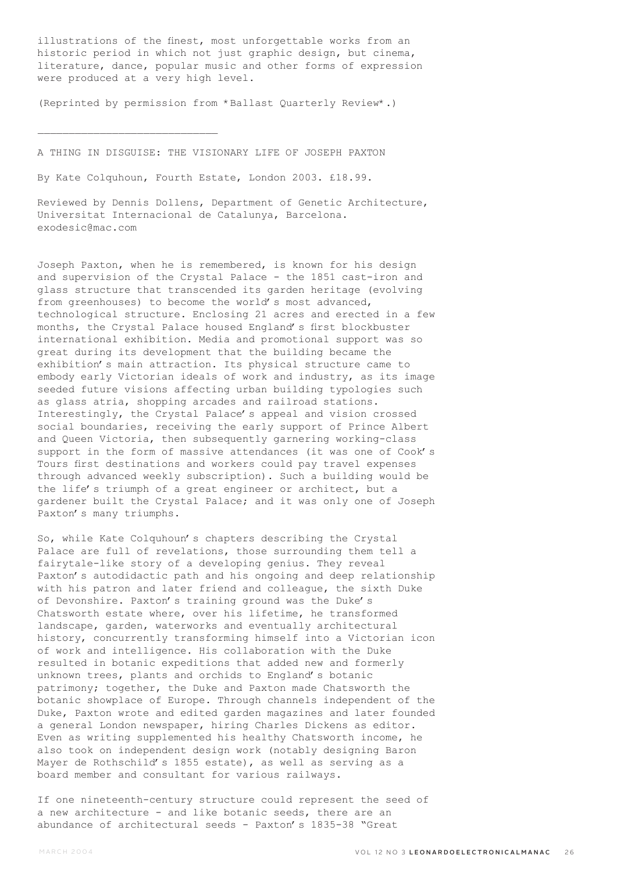illustrations of the finest, most unforgettable works from an historic period in which not just graphic design, but cinema, literature, dance, popular music and other forms of expression were produced at a very high level.

(Reprinted by permission from \*Ballast Quarterly Review\*.)

A THING IN DISGUISE: THE VISIONARY LIFE OF JOSEPH PAXTON

By Kate Colquhoun, Fourth Estate, London 2003. £18.99.

Reviewed by Dennis Dollens, Department of Genetic Architecture, Universitat Internacional de Catalunya, Barcelona. exodesic@mac.com

Joseph Paxton, when he is remembered, is known for his design and supervision of the Crystal Palace - the 1851 cast-iron and glass structure that transcended its garden heritage (evolving from greenhouses) to become the world's most advanced, technological structure. Enclosing 21 acres and erected in a few months, the Crystal Palace housed England's first blockbuster international exhibition. Media and promotional support was so great during its development that the building became the exhibition's main attraction. Its physical structure came to embody early Victorian ideals of work and industry, as its image seeded future visions affecting urban building typologies such as glass atria, shopping arcades and railroad stations. Interestingly, the Crystal Palace's appeal and vision crossed social boundaries, receiving the early support of Prince Albert and Queen Victoria, then subsequently garnering working-class support in the form of massive attendances (it was one of Cook's Tours first destinations and workers could pay travel expenses through advanced weekly subscription). Such a building would be the life's triumph of a great engineer or architect, but a gardener built the Crystal Palace; and it was only one of Joseph Paxton's many triumphs.

So, while Kate Colquhoun's chapters describing the Crystal Palace are full of revelations, those surrounding them tell a fairytale-like story of a developing genius. They reveal Paxton's autodidactic path and his ongoing and deep relationship with his patron and later friend and colleague, the sixth Duke of Devonshire. Paxton's training ground was the Duke's Chatsworth estate where, over his lifetime, he transformed landscape, garden, waterworks and eventually architectural history, concurrently transforming himself into a Victorian icon of work and intelligence. His collaboration with the Duke resulted in botanic expeditions that added new and formerly unknown trees, plants and orchids to England's botanic patrimony; together, the Duke and Paxton made Chatsworth the botanic showplace of Europe. Through channels independent of the Duke, Paxton wrote and edited garden magazines and later founded a general London newspaper, hiring Charles Dickens as editor. Even as writing supplemented his healthy Chatsworth income, he also took on independent design work (notably designing Baron Mayer de Rothschild's 1855 estate), as well as serving as a board member and consultant for various railways.

If one nineteenth-century structure could represent the seed of a new architecture - and like botanic seeds, there are an abundance of architectural seeds - Paxton's 1835-38 "Great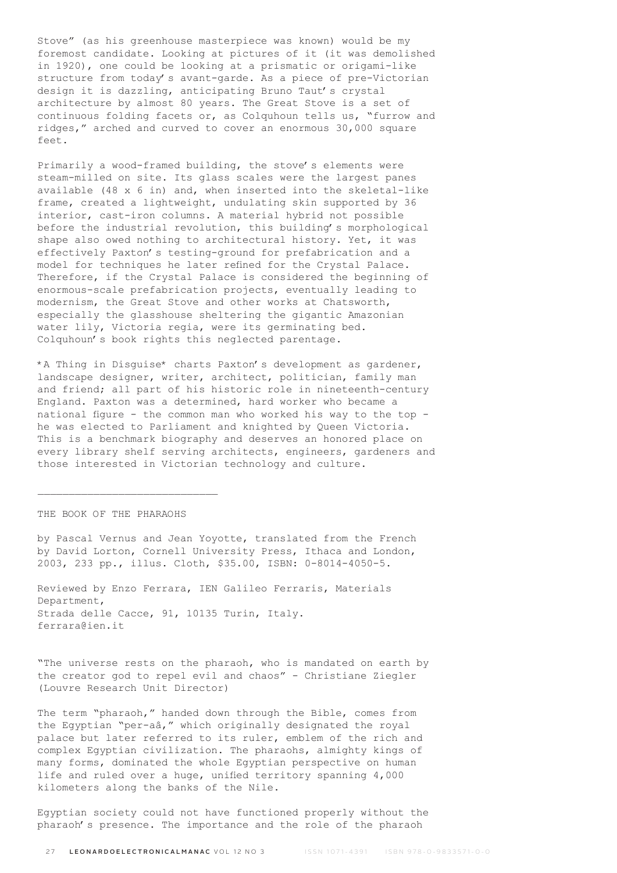Stove" (as his greenhouse masterpiece was known) would be my foremost candidate. Looking at pictures of it (it was demolished in 1920), one could be looking at a prismatic or origami-like structure from today's avant-garde. As a piece of pre-Victorian design it is dazzling, anticipating Bruno Taut's crystal architecture by almost 80 years. The Great Stove is a set of continuous folding facets or, as Colquhoun tells us, "furrow and ridges," arched and curved to cover an enormous 30,000 square feet.

Primarily a wood-framed building, the stove's elements were steam-milled on site. Its glass scales were the largest panes available  $(48 \times 6 \text{ in})$  and, when inserted into the skeletal-like frame, created a lightweight, undulating skin supported by 36 interior, cast-iron columns. A material hybrid not possible before the industrial revolution, this building's morphological shape also owed nothing to architectural history. Yet, it was effectively Paxton's testing-ground for prefabrication and a model for techniques he later refined for the Crystal Palace. Therefore, if the Crystal Palace is considered the beginning of enormous-scale prefabrication projects, eventually leading to modernism, the Great Stove and other works at Chatsworth, especially the glasshouse sheltering the gigantic Amazonian water lily, Victoria regia, were its germinating bed. Colquhoun's book rights this neglected parentage.

\*A Thing in Disguise\* charts Paxton's development as gardener, landscape designer, writer, architect, politician, family man and friend; all part of his historic role in nineteenth-century England. Paxton was a determined, hard worker who became a national figure - the common man who worked his way to the top he was elected to Parliament and knighted by Queen Victoria. This is a benchmark biography and deserves an honored place on every library shelf serving architects, engineers, gardeners and those interested in Victorian technology and culture.

THE BOOK OF THE PHARAOHS

by Pascal Vernus and Jean Yoyotte, translated from the French by David Lorton, Cornell University Press, Ithaca and London, 2003, 233 pp., illus. Cloth, \$35.00, ISBN: 0-8014-4050-5.

Reviewed by Enzo Ferrara, IEN Galileo Ferraris, Materials Department, Strada delle Cacce, 91, 10135 Turin, Italy. ferrara@ien.it

"The universe rests on the pharaoh, who is mandated on earth by the creator god to repel evil and chaos" - Christiane Ziegler (Louvre Research Unit Director)

The term "pharaoh," handed down through the Bible, comes from the Egyptian "per-aâ," which originally designated the royal palace but later referred to its ruler, emblem of the rich and complex Egyptian civilization. The pharaohs, almighty kings of many forms, dominated the whole Egyptian perspective on human life and ruled over a huge, unified territory spanning 4,000 kilometers along the banks of the Nile.

Egyptian society could not have functioned properly without the pharaoh's presence. The importance and the role of the pharaoh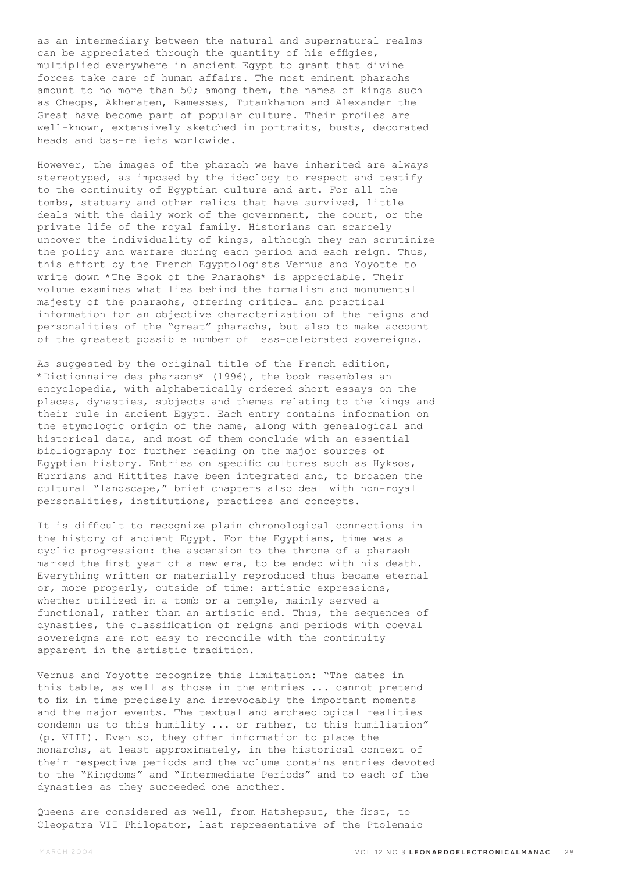as an intermediary between the natural and supernatural realms can be appreciated through the quantity of his effigies, multiplied everywhere in ancient Egypt to grant that divine forces take care of human affairs. The most eminent pharaohs amount to no more than 50; among them, the names of kings such as Cheops, Akhenaten, Ramesses, Tutankhamon and Alexander the Great have become part of popular culture. Their profiles are well-known, extensively sketched in portraits, busts, decorated heads and bas-reliefs worldwide.

However, the images of the pharaoh we have inherited are always stereotyped, as imposed by the ideology to respect and testify to the continuity of Egyptian culture and art. For all the tombs, statuary and other relics that have survived, little deals with the daily work of the government, the court, or the private life of the royal family. Historians can scarcely uncover the individuality of kings, although they can scrutinize the policy and warfare during each period and each reign. Thus, this effort by the French Egyptologists Vernus and Yoyotte to write down \*The Book of the Pharaohs\* is appreciable. Their volume examines what lies behind the formalism and monumental majesty of the pharaohs, offering critical and practical information for an objective characterization of the reigns and personalities of the "great" pharaohs, but also to make account of the greatest possible number of less-celebrated sovereigns.

As suggested by the original title of the French edition, \*Dictionnaire des pharaons\* (1996), the book resembles an encyclopedia, with alphabetically ordered short essays on the places, dynasties, subjects and themes relating to the kings and their rule in ancient Egypt. Each entry contains information on the etymologic origin of the name, along with genealogical and historical data, and most of them conclude with an essential bibliography for further reading on the major sources of Egyptian history. Entries on specific cultures such as Hyksos, Hurrians and Hittites have been integrated and, to broaden the cultural "landscape," brief chapters also deal with non-royal personalities, institutions, practices and concepts.

It is difficult to recognize plain chronological connections in the history of ancient Egypt. For the Egyptians, time was a cyclic progression: the ascension to the throne of a pharaoh marked the first year of a new era, to be ended with his death. Everything written or materially reproduced thus became eternal or, more properly, outside of time: artistic expressions, whether utilized in a tomb or a temple, mainly served a functional, rather than an artistic end. Thus, the sequences of dynasties, the classification of reigns and periods with coeval sovereigns are not easy to reconcile with the continuity apparent in the artistic tradition.

Vernus and Yoyotte recognize this limitation: "The dates in this table, as well as those in the entries ... cannot pretend to fix in time precisely and irrevocably the important moments and the major events. The textual and archaeological realities condemn us to this humility ... or rather, to this humiliation" (p. VIII). Even so, they offer information to place the monarchs, at least approximately, in the historical context of their respective periods and the volume contains entries devoted to the "Kingdoms" and "Intermediate Periods" and to each of the dynasties as they succeeded one another.

Queens are considered as well, from Hatshepsut, the first, to Cleopatra VII Philopator, last representative of the Ptolemaic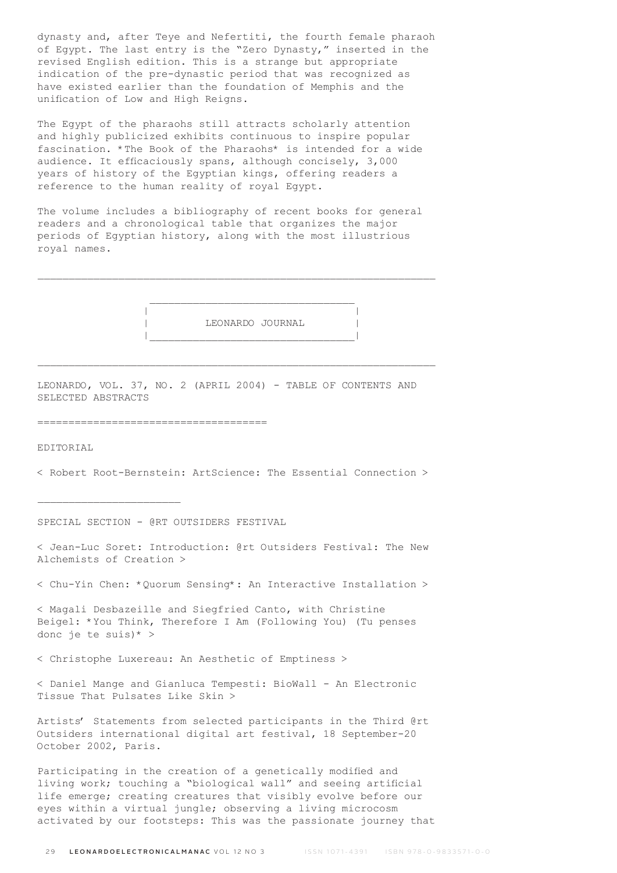dynasty and, after Teye and Nefertiti, the fourth female pharaoh of Egypt. The last entry is the "Zero Dynasty," inserted in the revised English edition. This is a strange but appropriate indication of the pre-dynastic period that was recognized as have existed earlier than the foundation of Memphis and the unification of Low and High Reigns.

The Egypt of the pharaohs still attracts scholarly attention and highly publicized exhibits continuous to inspire popular fascination. \*The Book of the Pharaohs\* is intended for a wide audience. It efficaciously spans, although concisely, 3,000 years of history of the Egyptian kings, offering readers a reference to the human reality of royal Egypt.

The volume includes a bibliography of recent books for general readers and a chronological table that organizes the major periods of Egyptian history, along with the most illustrious royal names.

 | | | LEONARDO JOURNAL | |\_\_\_\_\_\_\_\_\_\_\_\_\_\_\_\_\_\_\_\_\_\_\_\_\_\_\_\_\_\_\_\_\_|

LEONARDO, VOL. 37, NO. 2 (APRIL 2004) - TABLE OF CONTENTS AND SELECTED ABSTRACTS

#### =====================================

EDITORIAL

< Robert Root-Bernstein: ArtScience: The Essential Connection >

SPECIAL SECTION - @RT OUTSIDERS FESTIVAL

< Jean-Luc Soret: Introduction: @rt Outsiders Festival: The New Alchemists of Creation >

< Chu-Yin Chen: \*Quorum Sensing\*: An Interactive Installation >

< Magali Desbazeille and Siegfried Canto, with Christine Beigel: \*You Think, Therefore I Am (Following You) (Tu penses donc je te suis)\* >

< Christophe Luxereau: An Aesthetic of Emptiness >

< Daniel Mange and Gianluca Tempesti: BioWall - An Electronic Tissue That Pulsates Like Skin >

Artists' Statements from selected participants in the Third @rt Outsiders international digital art festival, 18 September-20 October 2002, Paris.

Participating in the creation of a genetically modified and living work; touching a "biological wall" and seeing artificial life emerge; creating creatures that visibly evolve before our eyes within a virtual jungle; observing a living microcosm activated by our footsteps: This was the passionate journey that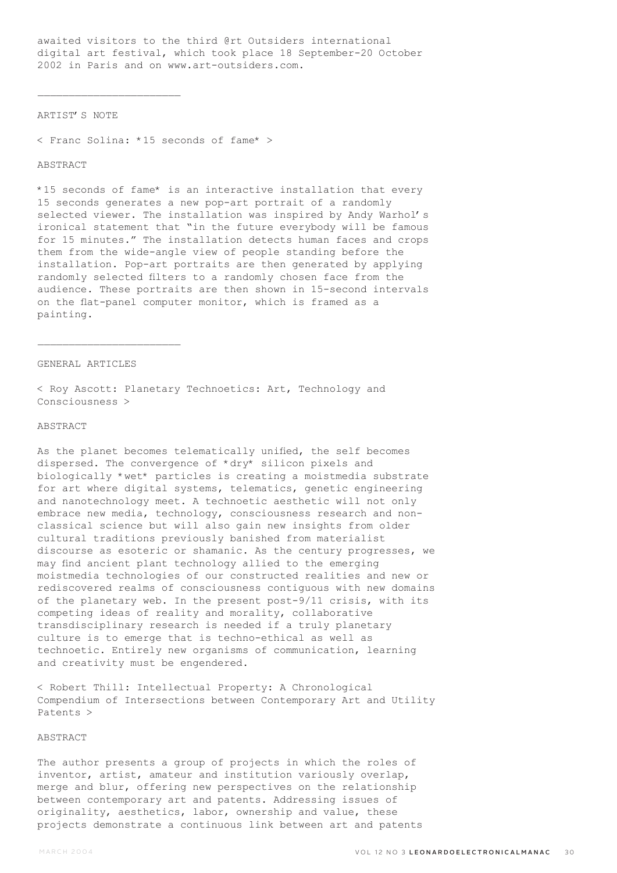awaited visitors to the third @rt Outsiders international digital art festival, which took place 18 September-20 October 2002 in Paris and on www.art-outsiders.com.

## ARTIST'S NOTE

 $\overline{\phantom{a}}$  , where  $\overline{\phantom{a}}$  , where  $\overline{\phantom{a}}$  , where  $\overline{\phantom{a}}$ 

< Franc Solina: \*15 seconds of fame\* >

## **ABSTRACT**

\*15 seconds of fame\* is an interactive installation that every 15 seconds generates a new pop-art portrait of a randomly selected viewer. The installation was inspired by Andy Warhol's ironical statement that "in the future everybody will be famous for 15 minutes." The installation detects human faces and crops them from the wide-angle view of people standing before the installation. Pop-art portraits are then generated by applying randomly selected filters to a randomly chosen face from the audience. These portraits are then shown in 15-second intervals on the flat-panel computer monitor, which is framed as a painting.

## GENERAL ARTICLES

 $\mathcal{L}_\text{max}$ 

< Roy Ascott: Planetary Technoetics: Art, Technology and Consciousness >

# ABSTRACT

As the planet becomes telematically unified, the self becomes dispersed. The convergence of \*dry\* silicon pixels and biologically \*wet\* particles is creating a moistmedia substrate for art where digital systems, telematics, genetic engineering and nanotechnology meet. A technoetic aesthetic will not only embrace new media, technology, consciousness research and nonclassical science but will also gain new insights from older cultural traditions previously banished from materialist discourse as esoteric or shamanic. As the century progresses, we may find ancient plant technology allied to the emerging moistmedia technologies of our constructed realities and new or rediscovered realms of consciousness contiguous with new domains of the planetary web. In the present post-9/11 crisis, with its competing ideas of reality and morality, collaborative transdisciplinary research is needed if a truly planetary culture is to emerge that is techno-ethical as well as technoetic. Entirely new organisms of communication, learning and creativity must be engendered.

< Robert Thill: Intellectual Property: A Chronological Compendium of Intersections between Contemporary Art and Utility Patents >

## ABSTRACT

The author presents a group of projects in which the roles of inventor, artist, amateur and institution variously overlap, merge and blur, offering new perspectives on the relationship between contemporary art and patents. Addressing issues of originality, aesthetics, labor, ownership and value, these projects demonstrate a continuous link between art and patents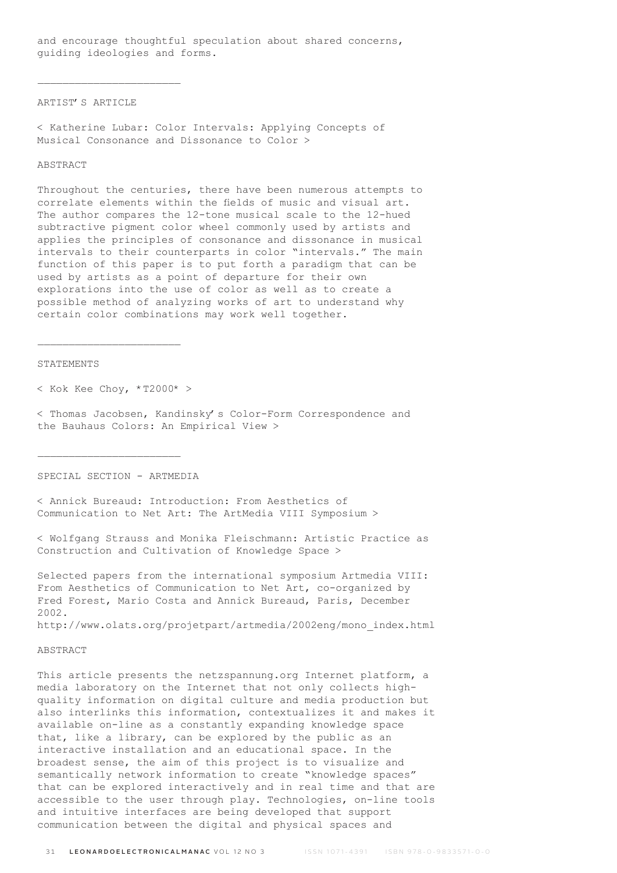and encourage thoughtful speculation about shared concerns, guiding ideologies and forms.

#### ARTIST'S ARTICLE

 $\overline{\phantom{a}}$  , where  $\overline{\phantom{a}}$  , where  $\overline{\phantom{a}}$  , where  $\overline{\phantom{a}}$ 

< Katherine Lubar: Color Intervals: Applying Concepts of Musical Consonance and Dissonance to Color >

### **ABSTRACT**

Throughout the centuries, there have been numerous attempts to correlate elements within the fields of music and visual art. The author compares the 12-tone musical scale to the 12-hued subtractive pigment color wheel commonly used by artists and applies the principles of consonance and dissonance in musical intervals to their counterparts in color "intervals." The main function of this paper is to put forth a paradigm that can be used by artists as a point of departure for their own explorations into the use of color as well as to create a possible method of analyzing works of art to understand why certain color combinations may work well together.

#### STATEMENTS

 $<$  Kok Kee Choy, \*T2000\* >

 $\mathcal{L}_\text{max}$ 

< Thomas Jacobsen, Kandinsky's Color-Form Correspondence and the Bauhaus Colors: An Empirical View >

SPECIAL SECTION - ARTMEDIA

 $\mathcal{L}_\text{max}$ 

< Annick Bureaud: Introduction: From Aesthetics of Communication to Net Art: The ArtMedia VIII Symposium >

< Wolfgang Strauss and Monika Fleischmann: Artistic Practice as Construction and Cultivation of Knowledge Space >

Selected papers from the international symposium Artmedia VIII: From Aesthetics of Communication to Net Art, co-organized by Fred Forest, Mario Costa and Annick Bureaud, Paris, December 2002.

http://www.olats.org/projetpart/artmedia/2002eng/mono\_index.html

## ABSTRACT

This article presents the netzspannung.org Internet platform, a media laboratory on the Internet that not only collects highquality information on digital culture and media production but also interlinks this information, contextualizes it and makes it available on-line as a constantly expanding knowledge space that, like a library, can be explored by the public as an interactive installation and an educational space. In the broadest sense, the aim of this project is to visualize and semantically network information to create "knowledge spaces" that can be explored interactively and in real time and that are accessible to the user through play. Technologies, on-line tools and intuitive interfaces are being developed that support communication between the digital and physical spaces and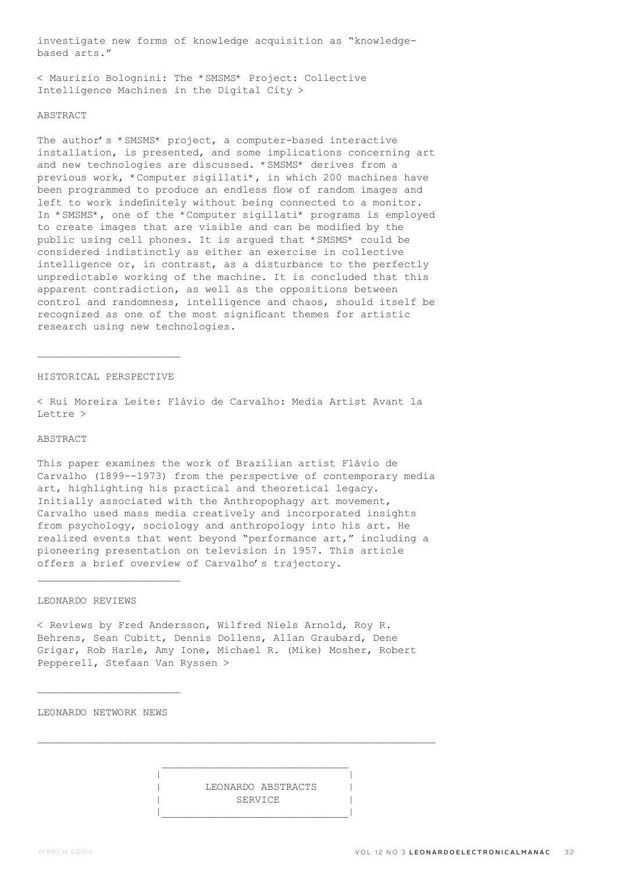investigate new forms of knowledge acquisition as "knowledgebased arts."

< Maurizio Bolognini: The \*SMSMS\* Project: Collective Intelligence Machines in the Digital City >

#### **ABSTRACT**

The author's \*SMSMS\* project, a computer-based interactive installation, is presented, and some implications concerning art and new technologies are discussed. \*SMSMS\* derives from a previous work, \*Computer sigillati\*, in which 200 machines have been programmed to produce an endless flow of random images and left to work indefinitely without being connected to a monitor. In \*SMSMS\*, one of the \*Computer sigillati\* programs is employed to create images that are visible and can be modified by the public using cell phones. It is argued that \*SMSMS\* could be considered indistinctly as either an exercise in collective intelligence or, in contrast, as a disturbance to the perfectly unpredictable working of the machine. It is concluded that this apparent contradiction, as well as the oppositions between control and randomness, intelligence and chaos, should itself be recognized as one of the most significant themes for artistic research using new technologies.

## HISTORICAL PERSPECTIVE

 $\mathcal{L}_\text{max}$ 

< Rui Moreira Leite: Flávio de Carvalho: Media Artist Avant la Lettre >

## ABSTRACT

This paper examines the work of Brazilian artist Flávio de Carvalho (1899--1973) from the perspective of contemporary media art, highlighting his practical and theoretical legacy. Initially associated with the Anthropophagy art movement, Carvalho used mass media creatively and incorporated insights from psychology, sociology and anthropology into his art. He realized events that went beyond "performance art," including a pioneering presentation on television in 1957. This article offers a brief overview of Carvalho's trajectory.

## LEONARDO REVIEWS

 $\mathcal{L}_\text{max}$ 

< Reviews by Fred Andersson, Wilfred Niels Arnold, Roy R. Behrens, Sean Cubitt, Dennis Dollens, Allan Graubard, Dene Grigar, Rob Harle, Amy Ione, Michael R. (Mike) Mosher, Robert Pepperell, Stefaan Van Ryssen >

LEONARDO NETWORK NEWS

 | | | LEONARDO ABSTRACTS | SERVICE |\_\_\_\_\_\_\_\_\_\_\_\_\_\_\_\_\_\_\_\_\_\_\_\_\_\_\_\_\_\_|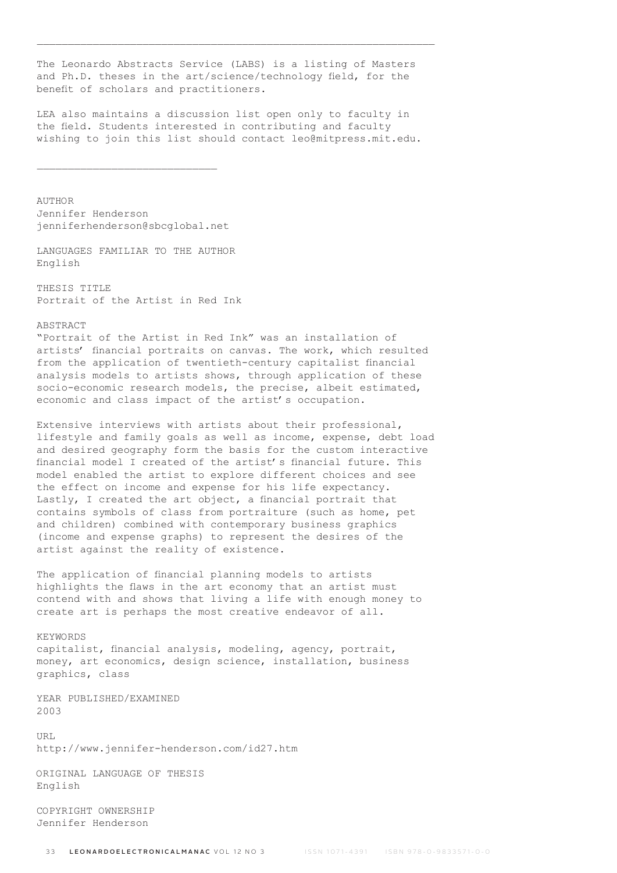The Leonardo Abstracts Service (LABS) is a listing of Masters and Ph.D. theses in the art/science/technology field, for the benefit of scholars and practitioners.

\_\_\_\_\_\_\_\_\_\_\_\_\_\_\_\_\_\_\_\_\_\_\_\_\_\_\_\_\_\_\_\_\_\_\_\_\_\_\_\_\_\_\_\_\_\_\_\_\_\_\_\_\_\_\_\_\_\_\_\_\_\_\_\_

LEA also maintains a discussion list open only to faculty in the field. Students interested in contributing and faculty wishing to join this list should contact leo@mitpress.mit.edu.

AUTHOR Jennifer Henderson jenniferhenderson@sbcglobal.net

LANGUAGES FAMILIAR TO THE AUTHOR English

THESIS TITLE Portrait of the Artist in Red Ink

ABSTRACT

"Portrait of the Artist in Red Ink" was an installation of artists' financial portraits on canvas. The work, which resulted from the application of twentieth-century capitalist financial analysis models to artists shows, through application of these socio-economic research models, the precise, albeit estimated, economic and class impact of the artist's occupation.

Extensive interviews with artists about their professional, lifestyle and family goals as well as income, expense, debt load and desired geography form the basis for the custom interactive financial model I created of the artist's financial future. This model enabled the artist to explore different choices and see the effect on income and expense for his life expectancy. Lastly, I created the art object, a financial portrait that contains symbols of class from portraiture (such as home, pet and children) combined with contemporary business graphics (income and expense graphs) to represent the desires of the artist against the reality of existence.

The application of financial planning models to artists highlights the flaws in the art economy that an artist must contend with and shows that living a life with enough money to create art is perhaps the most creative endeavor of all.

KEYWORDS capitalist, financial analysis, modeling, agency, portrait, money, art economics, design science, installation, business graphics, class

YEAR PUBLISHED/EXAMINED 2003

IIRT. http://www.jennifer-henderson.com/id27.htm

ORIGINAL LANGUAGE OF THESIS English

COPYRIGHT OWNERSHIP Jennifer Henderson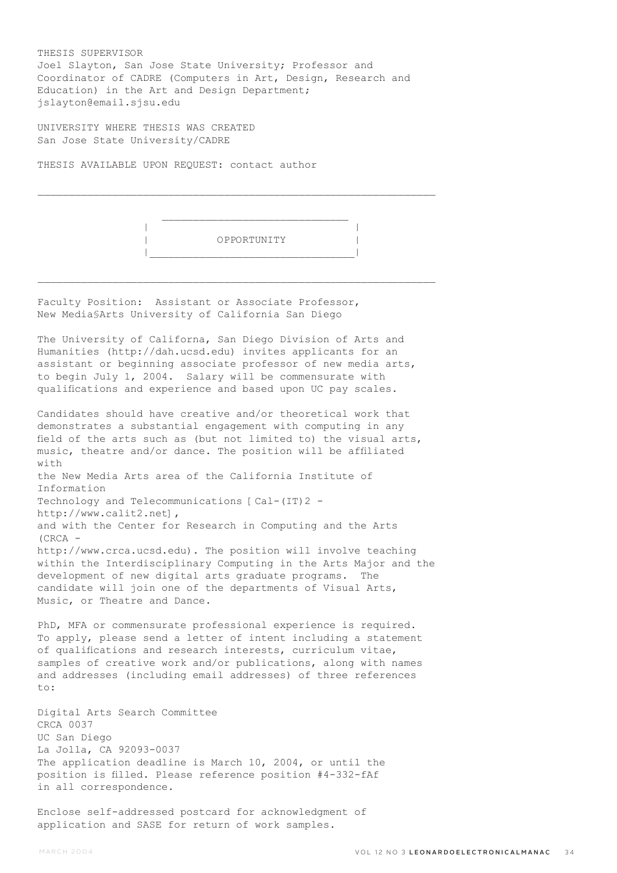THESIS SUPERVISOR Joel Slayton, San Jose State University; Professor and Coordinator of CADRE (Computers in Art, Design, Research and Education) in the Art and Design Department; jslayton@email.sjsu.edu

 $\mathcal{L}_\text{max}$ 

 $\mathcal{L}_\text{max}$ 

UNIVERSITY WHERE THESIS WAS CREATED San Jose State University/CADRE

THESIS AVAILABLE UPON REQUEST: contact author



Faculty Position: Assistant or Associate Professor, New Media§Arts University of California San Diego

The University of Californa, San Diego Division of Arts and Humanities (http://dah.ucsd.edu) invites applicants for an assistant or beginning associate professor of new media arts, to begin July 1, 2004. Salary will be commensurate with qualifications and experience and based upon UC pay scales.

Candidates should have creative and/or theoretical work that demonstrates a substantial engagement with computing in any field of the arts such as (but not limited to) the visual arts, music, theatre and/or dance. The position will be affiliated with the New Media Arts area of the California Institute of Information Technology and Telecommunications [Cal-(IT)2 http://www.calit2.net], and with the Center for Research in Computing and the Arts (CRCA http://www.crca.ucsd.edu). The position will involve teaching within the Interdisciplinary Computing in the Arts Major and the development of new digital arts graduate programs. The candidate will join one of the departments of Visual Arts, Music, or Theatre and Dance.

PhD, MFA or commensurate professional experience is required. To apply, please send a letter of intent including a statement of qualifications and research interests, curriculum vitae, samples of creative work and/or publications, along with names and addresses (including email addresses) of three references to:

Digital Arts Search Committee CRCA 0037 UC San Diego La Jolla, CA 92093-0037 The application deadline is March 10, 2004, or until the position is filled. Please reference position #4-332-fAf in all correspondence.

Enclose self-addressed postcard for acknowledgment of application and SASE for return of work samples.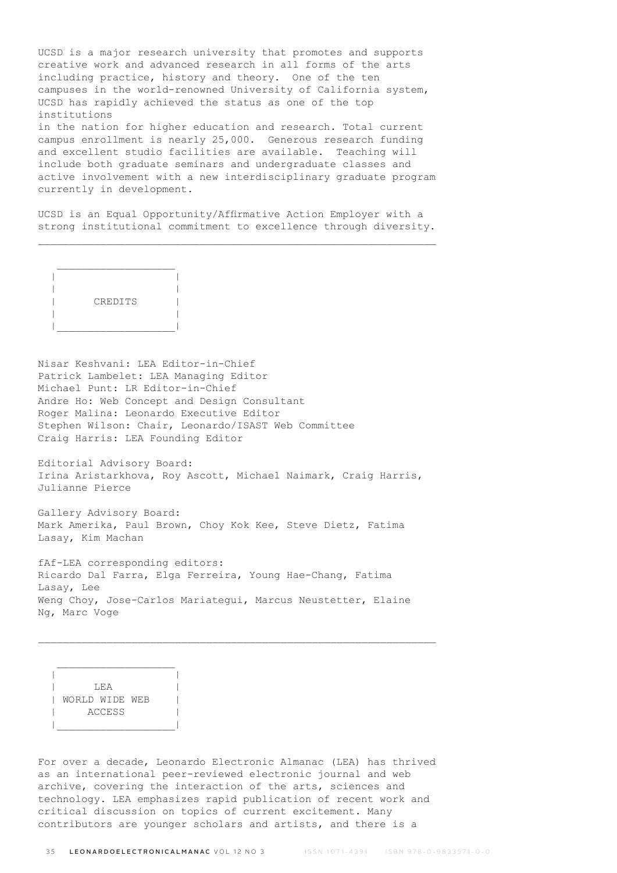UCSD is a major research university that promotes and supports creative work and advanced research in all forms of the arts including practice, history and theory. One of the ten campuses in the world-renowned University of California system, UCSD has rapidly achieved the status as one of the top institutions in the nation for higher education and research. Total current

campus enrollment is nearly 25,000. Generous research funding and excellent studio facilities are available. Teaching will include both graduate seminars and undergraduate classes and active involvement with a new interdisciplinary graduate program currently in development.

UCSD is an Equal Opportunity/Affirmative Action Employer with a strong institutional commitment to excellence through diversity.



Nisar Keshvani: LEA Editor-in-Chief Patrick Lambelet: LEA Managing Editor Michael Punt: LR Editor-in-Chief Andre Ho: Web Concept and Design Consultant Roger Malina: Leonardo Executive Editor Stephen Wilson: Chair, Leonardo/ISAST Web Committee Craig Harris: LEA Founding Editor

Editorial Advisory Board: Irina Aristarkhova, Roy Ascott, Michael Naimark, Craig Harris, Julianne Pierce

Gallery Advisory Board: Mark Amerika, Paul Brown, Choy Kok Kee, Steve Dietz, Fatima Lasay, Kim Machan

fAf-LEA corresponding editors: Ricardo Dal Farra, Elga Ferreira, Young Hae-Chang, Fatima Lasay, Lee Weng Choy, Jose-Carlos Mariategui, Marcus Neustetter, Elaine Ng, Marc Voge

 | | | LEA | | WORLD WIDE WEB | | ACCESS | |\_\_\_\_\_\_\_\_\_\_\_\_\_\_\_\_\_\_\_|

For over a decade, Leonardo Electronic Almanac (LEA) has thrived as an international peer-reviewed electronic journal and web archive, covering the interaction of the arts, sciences and technology. LEA emphasizes rapid publication of recent work and critical discussion on topics of current excitement. Many contributors are younger scholars and artists, and there is a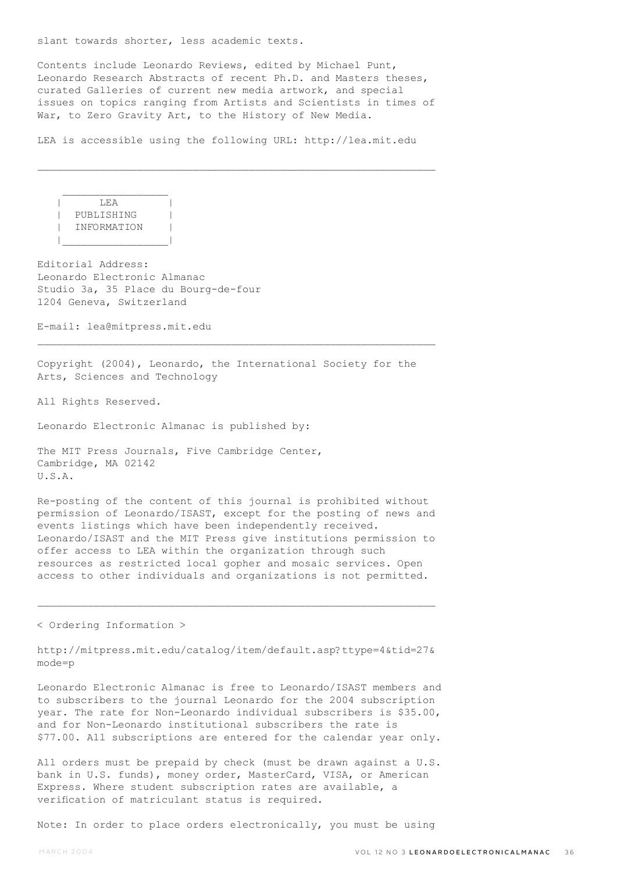slant towards shorter, less academic texts.

Contents include Leonardo Reviews, edited by Michael Punt, Leonardo Research Abstracts of recent Ph.D. and Masters theses, curated Galleries of current new media artwork, and special issues on topics ranging from Artists and Scientists in times of War, to Zero Gravity Art, to the History of New Media.

LEA is accessible using the following URL: http://lea.mit.edu

 $\mathcal{L}_\text{max}$ 

 $\overline{\phantom{a}}$   $\overline{\phantom{a}}$   $\overline{\phantom{a}}$   $\overline{\phantom{a}}$   $\overline{\phantom{a}}$   $\overline{\phantom{a}}$   $\overline{\phantom{a}}$   $\overline{\phantom{a}}$   $\overline{\phantom{a}}$   $\overline{\phantom{a}}$   $\overline{\phantom{a}}$   $\overline{\phantom{a}}$   $\overline{\phantom{a}}$   $\overline{\phantom{a}}$   $\overline{\phantom{a}}$   $\overline{\phantom{a}}$   $\overline{\phantom{a}}$   $\overline{\phantom{a}}$   $\overline{\$  | PUBLISHING | | INFORMATION | |\_\_\_\_\_\_\_\_\_\_\_\_\_\_\_\_\_|

 $\mathcal{L}_\text{max}$ 

Editorial Address: Leonardo Electronic Almanac Studio 3a, 35 Place du Bourg-de-four 1204 Geneva, Switzerland

E-mail: lea@mitpress.mit.edu

Copyright (2004), Leonardo, the International Society for the Arts, Sciences and Technology

 $\mathcal{L}_\text{max}$ 

All Rights Reserved.

Leonardo Electronic Almanac is published by:

The MIT Press Journals, Five Cambridge Center, Cambridge, MA 02142 U.S.A.

Re-posting of the content of this journal is prohibited without permission of Leonardo/ISAST, except for the posting of news and events listings which have been independently received. Leonardo/ISAST and the MIT Press give institutions permission to offer access to LEA within the organization through such resources as restricted local gopher and mosaic services. Open access to other individuals and organizations is not permitted.

< Ordering Information >

http://mitpress.mit.edu/catalog/item/default.asp?ttype=4&tid=27& mode=p

Leonardo Electronic Almanac is free to Leonardo/ISAST members and to subscribers to the journal Leonardo for the 2004 subscription year. The rate for Non-Leonardo individual subscribers is \$35.00, and for Non-Leonardo institutional subscribers the rate is \$77.00. All subscriptions are entered for the calendar year only.

All orders must be prepaid by check (must be drawn against a U.S. bank in U.S. funds), money order, MasterCard, VISA, or American Express. Where student subscription rates are available, a verification of matriculant status is required.

Note: In order to place orders electronically, you must be using